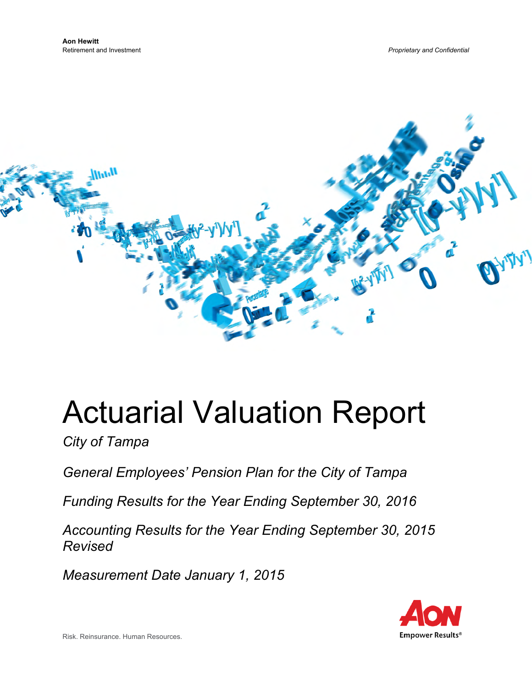

# Actuarial Valuation Report

*City of Tampa* 

*General Employees' Pension Plan for the City of Tampa* 

*Funding Results for the Year Ending September 30, 2016* 

*Accounting Results for the Year Ending September 30, 2015 Revised* 

*Measurement Date January 1, 2015* 



Risk. Reinsurance. Human Resources.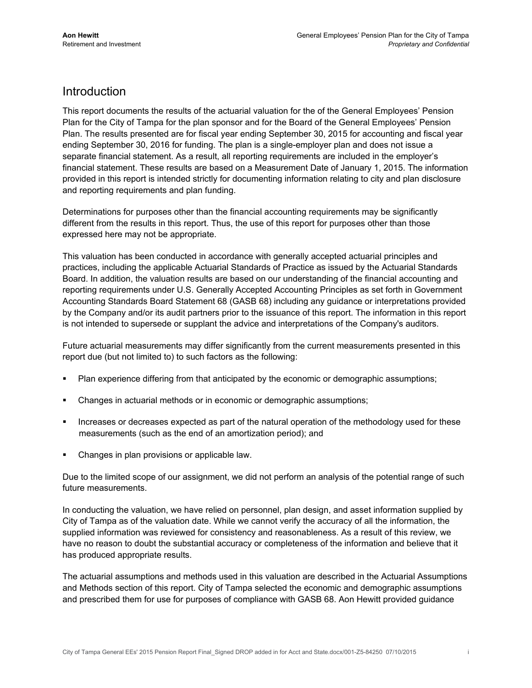#### Introduction

This report documents the results of the actuarial valuation for the of the General Employees' Pension Plan for the City of Tampa for the plan sponsor and for the Board of the General Employees' Pension Plan. The results presented are for fiscal year ending September 30, 2015 for accounting and fiscal year ending September 30, 2016 for funding. The plan is a single-employer plan and does not issue a separate financial statement. As a result, all reporting requirements are included in the employer's financial statement. These results are based on a Measurement Date of January 1, 2015. The information provided in this report is intended strictly for documenting information relating to city and plan disclosure and reporting requirements and plan funding.

Determinations for purposes other than the financial accounting requirements may be significantly different from the results in this report. Thus, the use of this report for purposes other than those expressed here may not be appropriate.

This valuation has been conducted in accordance with generally accepted actuarial principles and practices, including the applicable Actuarial Standards of Practice as issued by the Actuarial Standards Board. In addition, the valuation results are based on our understanding of the financial accounting and reporting requirements under U.S. Generally Accepted Accounting Principles as set forth in Government Accounting Standards Board Statement 68 (GASB 68) including any guidance or interpretations provided by the Company and/or its audit partners prior to the issuance of this report. The information in this report is not intended to supersede or supplant the advice and interpretations of the Company's auditors.

Future actuarial measurements may differ significantly from the current measurements presented in this report due (but not limited to) to such factors as the following:

- Plan experience differing from that anticipated by the economic or demographic assumptions;
- Changes in actuarial methods or in economic or demographic assumptions;
- Increases or decreases expected as part of the natural operation of the methodology used for these measurements (such as the end of an amortization period); and
- Changes in plan provisions or applicable law.

Due to the limited scope of our assignment, we did not perform an analysis of the potential range of such future measurements.

In conducting the valuation, we have relied on personnel, plan design, and asset information supplied by City of Tampa as of the valuation date. While we cannot verify the accuracy of all the information, the supplied information was reviewed for consistency and reasonableness. As a result of this review, we have no reason to doubt the substantial accuracy or completeness of the information and believe that it has produced appropriate results.

The actuarial assumptions and methods used in this valuation are described in the Actuarial Assumptions and Methods section of this report. City of Tampa selected the economic and demographic assumptions and prescribed them for use for purposes of compliance with GASB 68. Aon Hewitt provided guidance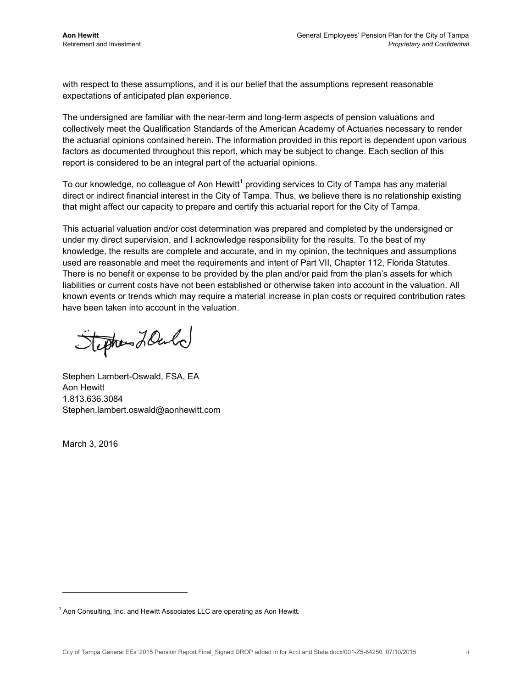with respect to these assumptions, and it is our belief that the assumptions represent reasonable expectations of anticipated plan experience.

The undersigned are familiar with the near-term and long-term aspects of pension valuations and collectively meet the Qualification Standards of the American Academy of Actuaries necessary to render the actuarial opinions contained herein. The information provided in this report is dependent upon various factors as documented throughout this report, which may be subject to change. Each section of this report is considered to be an integral part of the actuarial opinions.

To our knowledge, no colleague of Aon Hewitt<sup>1</sup> providing services to City of Tampa has any material direct or indirect financial interest in the City of Tampa. Thus, we believe there is no relationship existing that might affect our capacity to prepare and certify this actuarial report for the City of Tampa.

This actuarial valuation and/or cost determination was prepared and completed by the undersigned or under my direct supervision, and I acknowledge responsibility for the results. To the best of my knowledge, the results are complete and accurate, and in my opinion, the techniques and assumptions used are reasonable and meet the requirements and intent of Part VII, Chapter 112, Florida Statutes. There is no benefit or expense to be provided by the plan and/or paid from the plan's assets for which liabilities or current costs have not been established or otherwise taken into account in the valuation. All known events or trends which may require a material increase in plan costs or required contribution rates have been taken into account in the valuation.

Stephen LOuld

Stephen Lambert-Oswald, FSA, EA Aon Hewitt 1.813.636.3084 Stephen.lambert.oswald@aonhewitt.com

March 3, 2016

 $1$  Aon Consulting, Inc. and Hewitt Associates LLC are operating as Aon Hewitt.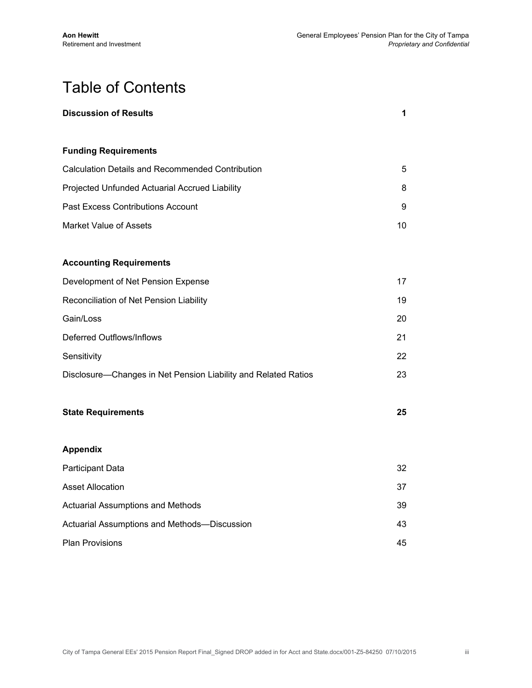## Table of Contents

| <b>Discussion of Results</b>                                   | 1  |
|----------------------------------------------------------------|----|
| <b>Funding Requirements</b>                                    |    |
| <b>Calculation Details and Recommended Contribution</b>        | 5  |
| Projected Unfunded Actuarial Accrued Liability                 | 8  |
| <b>Past Excess Contributions Account</b>                       | 9  |
| <b>Market Value of Assets</b>                                  | 10 |
|                                                                |    |
| <b>Accounting Requirements</b>                                 |    |
| Development of Net Pension Expense                             | 17 |
| Reconciliation of Net Pension Liability                        | 19 |
| Gain/Loss                                                      | 20 |
| <b>Deferred Outflows/Inflows</b>                               | 21 |
| Sensitivity                                                    | 22 |
| Disclosure-Changes in Net Pension Liability and Related Ratios | 23 |
| <b>State Requirements</b>                                      | 25 |
| <b>Appendix</b>                                                |    |
| Participant Data                                               | 32 |
| <b>Asset Allocation</b>                                        | 37 |
| <b>Actuarial Assumptions and Methods</b>                       | 39 |
| Actuarial Assumptions and Methods-Discussion                   | 43 |
| <b>Plan Provisions</b>                                         | 45 |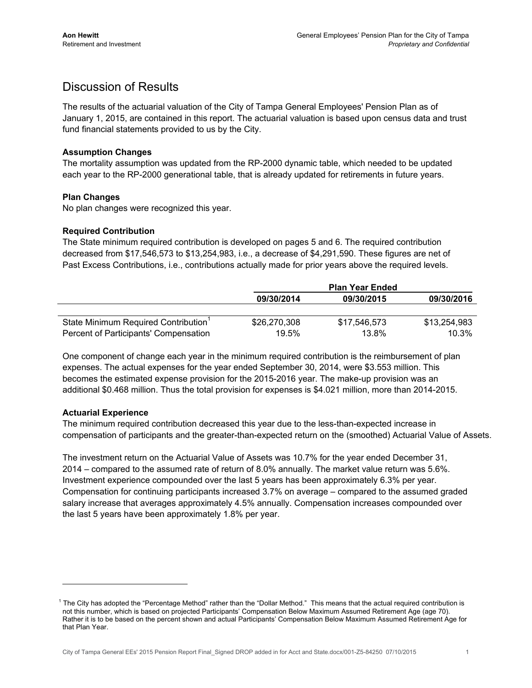### Discussion of Results

The results of the actuarial valuation of the City of Tampa General Employees' Pension Plan as of January 1, 2015, are contained in this report. The actuarial valuation is based upon census data and trust fund financial statements provided to us by the City.

#### **Assumption Changes**

The mortality assumption was updated from the RP-2000 dynamic table, which needed to be updated each year to the RP-2000 generational table, that is already updated for retirements in future years.

#### **Plan Changes**

No plan changes were recognized this year.

#### **Required Contribution**

The State minimum required contribution is developed on pages 5 and 6. The required contribution decreased from \$17,546,573 to \$13,254,983, i.e., a decrease of \$4,291,590. These figures are net of Past Excess Contributions, i.e., contributions actually made for prior years above the required levels.

|                                                  |              | <b>Plan Year Ended</b> |              |
|--------------------------------------------------|--------------|------------------------|--------------|
|                                                  | 09/30/2014   | 09/30/2015             | 09/30/2016   |
|                                                  |              |                        |              |
| State Minimum Required Contribution <sup>1</sup> | \$26,270,308 | \$17,546,573           | \$13,254,983 |
| Percent of Participants' Compensation            | 19.5%        | 13.8%                  | $10.3\%$     |

One component of change each year in the minimum required contribution is the reimbursement of plan expenses. The actual expenses for the year ended September 30, 2014, were \$3.553 million. This becomes the estimated expense provision for the 2015-2016 year. The make-up provision was an additional \$0.468 million. Thus the total provision for expenses is \$4.021 million, more than 2014-2015.

#### **Actuarial Experience**

The minimum required contribution decreased this year due to the less-than-expected increase in compensation of participants and the greater-than-expected return on the (smoothed) Actuarial Value of Assets.

The investment return on the Actuarial Value of Assets was 10.7% for the year ended December 31, 2014 – compared to the assumed rate of return of 8.0% annually. The market value return was 5.6%. Investment experience compounded over the last 5 years has been approximately 6.3% per year. Compensation for continuing participants increased 3.7% on average – compared to the assumed graded salary increase that averages approximately 4.5% annually. Compensation increases compounded over the last 5 years have been approximately 1.8% per year.

 $1$  The City has adopted the "Percentage Method" rather than the "Dollar Method." This means that the actual required contribution is not this number, which is based on projected Participants' Compensation Below Maximum Assumed Retirement Age (age 70). Rather it is to be based on the percent shown and actual Participants' Compensation Below Maximum Assumed Retirement Age for that Plan Year.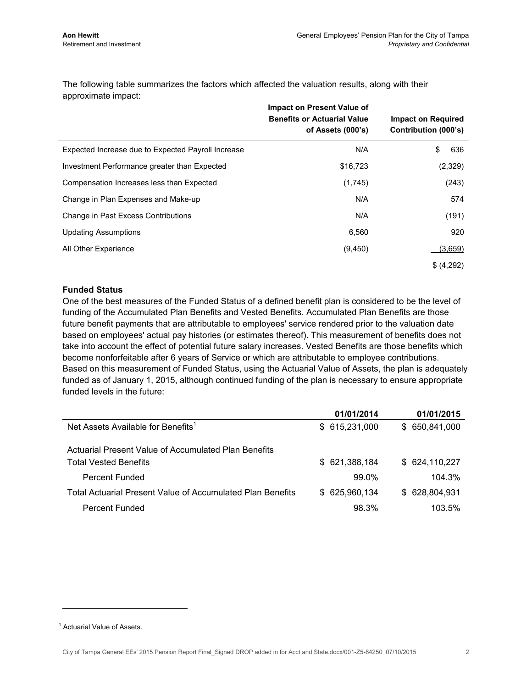The following table summarizes the factors which affected the valuation results, along with their approximate impact:

|                                                    | <b>Impact on Present Value of</b><br><b>Benefits or Actuarial Value</b><br>of Assets (000's) | <b>Impact on Required</b><br>Contribution (000's) |
|----------------------------------------------------|----------------------------------------------------------------------------------------------|---------------------------------------------------|
| Expected Increase due to Expected Payroll Increase | N/A                                                                                          | \$<br>636                                         |
| Investment Performance greater than Expected       | \$16,723                                                                                     | (2,329)                                           |
| Compensation Increases less than Expected          | (1,745)                                                                                      | (243)                                             |
| Change in Plan Expenses and Make-up                | N/A                                                                                          | 574                                               |
| Change in Past Excess Contributions                | N/A                                                                                          | (191)                                             |
| <b>Updating Assumptions</b>                        | 6,560                                                                                        | 920                                               |
| All Other Experience                               | (9, 450)                                                                                     | (3,659)                                           |
|                                                    |                                                                                              | \$ (4,292)                                        |

#### **Funded Status**

One of the best measures of the Funded Status of a defined benefit plan is considered to be the level of funding of the Accumulated Plan Benefits and Vested Benefits. Accumulated Plan Benefits are those future benefit payments that are attributable to employees' service rendered prior to the valuation date based on employees' actual pay histories (or estimates thereof). This measurement of benefits does not take into account the effect of potential future salary increases. Vested Benefits are those benefits which become nonforfeitable after 6 years of Service or which are attributable to employee contributions. Based on this measurement of Funded Status, using the Actuarial Value of Assets, the plan is adequately funded as of January 1, 2015, although continued funding of the plan is necessary to ensure appropriate funded levels in the future:

|                                                                   | 01/01/2014     | 01/01/2015     |
|-------------------------------------------------------------------|----------------|----------------|
| Net Assets Available for Benefits <sup>1</sup>                    | \$615,231,000  | \$ 650,841,000 |
| Actuarial Present Value of Accumulated Plan Benefits              |                |                |
| <b>Total Vested Benefits</b>                                      | \$ 621,388,184 | \$ 624,110,227 |
| <b>Percent Funded</b>                                             | 99.0%          | 104.3%         |
| <b>Total Actuarial Present Value of Accumulated Plan Benefits</b> | \$625,960,134  | \$ 628,804,931 |
| <b>Percent Funded</b>                                             | 98.3%          | 103.5%         |

<sup>&</sup>lt;sup>1</sup> Actuarial Value of Assets.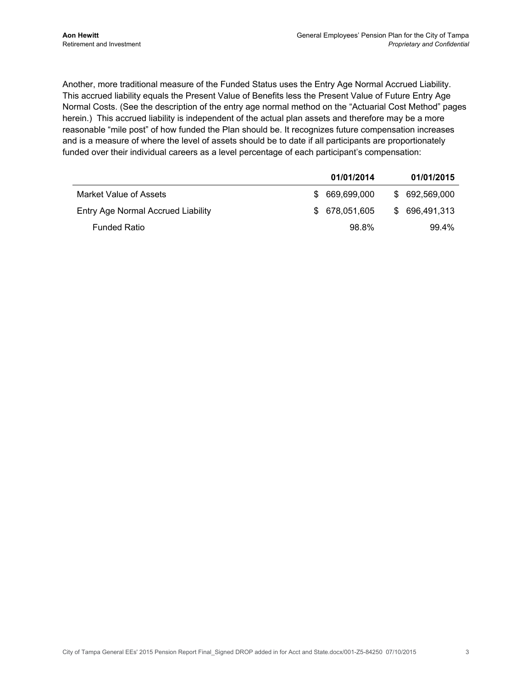Another, more traditional measure of the Funded Status uses the Entry Age Normal Accrued Liability. This accrued liability equals the Present Value of Benefits less the Present Value of Future Entry Age Normal Costs. (See the description of the entry age normal method on the "Actuarial Cost Method" pages herein.) This accrued liability is independent of the actual plan assets and therefore may be a more reasonable "mile post" of how funded the Plan should be. It recognizes future compensation increases and is a measure of where the level of assets should be to date if all participants are proportionately funded over their individual careers as a level percentage of each participant's compensation:

|                                    | 01/01/2014     |    | 01/01/2015     |
|------------------------------------|----------------|----|----------------|
| Market Value of Assets             | \$ 669,699,000 |    | \$ 692,569,000 |
| Entry Age Normal Accrued Liability | \$ 678.051.605 | S. | 696.491.313    |
| <b>Funded Ratio</b>                | 98.8%          |    | 99.4%          |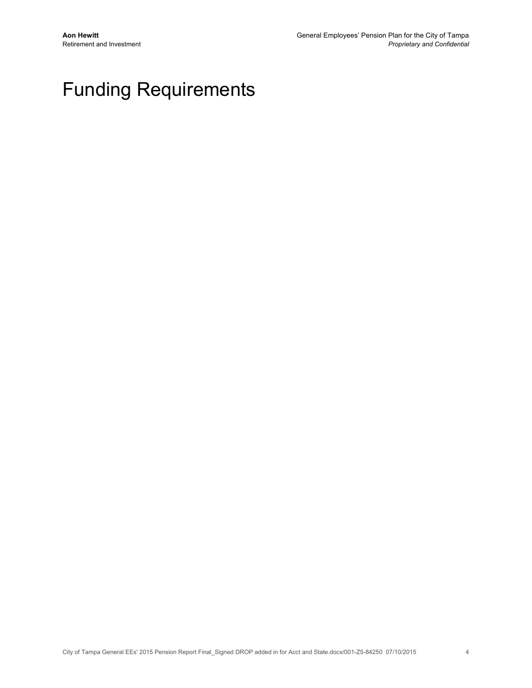## Funding Requirements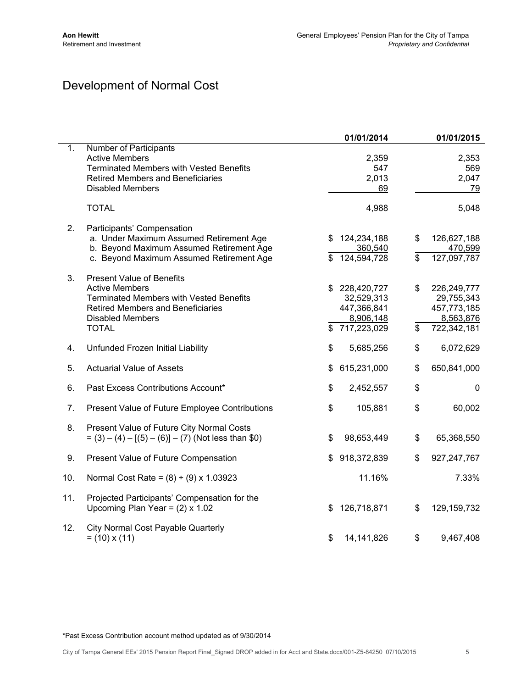## Development of Normal Cost

|     |                                                                                                                                                                                                    |          | 01/01/2014                                                           |          | 01/01/2015                                                           |
|-----|----------------------------------------------------------------------------------------------------------------------------------------------------------------------------------------------------|----------|----------------------------------------------------------------------|----------|----------------------------------------------------------------------|
| 1.  | Number of Participants<br><b>Active Members</b><br><b>Terminated Members with Vested Benefits</b><br><b>Retired Members and Beneficiaries</b><br><b>Disabled Members</b>                           |          | 2,359<br>547<br>2,013<br>69                                          |          | 2,353<br>569<br>2,047<br>79                                          |
|     | <b>TOTAL</b>                                                                                                                                                                                       |          | 4,988                                                                |          | 5,048                                                                |
| 2.  | Participants' Compensation<br>a. Under Maximum Assumed Retirement Age<br>b. Beyond Maximum Assumed Retirement Age<br>c. Beyond Maximum Assumed Retirement Age                                      | \$<br>\$ | 124,234,188<br>360,540<br>124,594,728                                | \$<br>\$ | 126,627,188<br>470,599<br>127,097,787                                |
| 3.  | <b>Present Value of Benefits</b><br><b>Active Members</b><br><b>Terminated Members with Vested Benefits</b><br><b>Retired Members and Beneficiaries</b><br><b>Disabled Members</b><br><b>TOTAL</b> | \$<br>\$ | 228,420,727<br>32,529,313<br>447,366,841<br>8,906,148<br>717,223,029 | \$<br>\$ | 226,249,777<br>29,755,343<br>457,773,185<br>8,563,876<br>722,342,181 |
| 4.  | Unfunded Frozen Initial Liability                                                                                                                                                                  | \$       | 5,685,256                                                            | \$       | 6,072,629                                                            |
| 5.  | <b>Actuarial Value of Assets</b>                                                                                                                                                                   | \$       | 615,231,000                                                          | \$       | 650,841,000                                                          |
| 6.  | Past Excess Contributions Account*                                                                                                                                                                 | \$       | 2,452,557                                                            | \$       | 0                                                                    |
| 7.  | Present Value of Future Employee Contributions                                                                                                                                                     | \$       | 105,881                                                              | \$       | 60,002                                                               |
| 8.  | Present Value of Future City Normal Costs<br>$= (3) - (4) - [(5) - (6)] - (7)$ (Not less than \$0)                                                                                                 | \$       | 98,653,449                                                           | \$       | 65,368,550                                                           |
| 9.  | Present Value of Future Compensation                                                                                                                                                               | \$       | 918,372,839                                                          | \$       | 927, 247, 767                                                        |
| 10. | Normal Cost Rate = $(8) \div (9) \times 1.03923$                                                                                                                                                   |          | 11.16%                                                               |          | 7.33%                                                                |
| 11. | Projected Participants' Compensation for the<br>Upcoming Plan Year = $(2) \times 1.02$                                                                                                             | \$       | 126,718,871                                                          | \$       | 129,159,732                                                          |
| 12. | <b>City Normal Cost Payable Quarterly</b><br>$= (10) \times (11)$                                                                                                                                  | \$       | 14, 141, 826                                                         | \$       | 9,467,408                                                            |

\*Past Excess Contribution account method updated as of 9/30/2014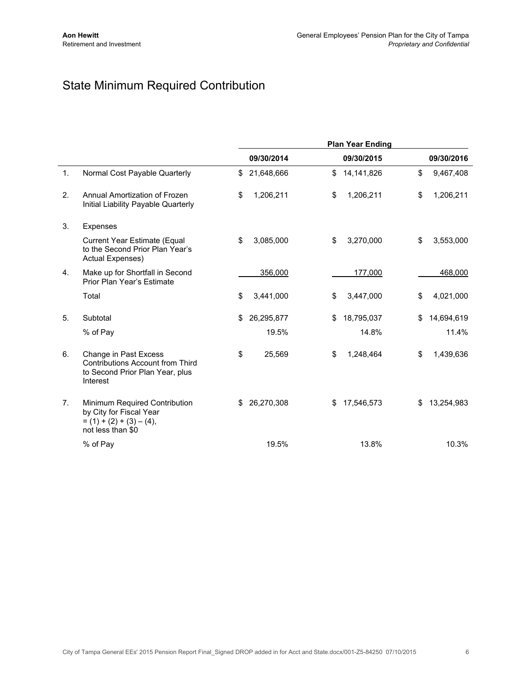## State Minimum Required Contribution

|                |                                                                                                                 | <b>Plan Year Ending</b> |            |    |            |    |            |
|----------------|-----------------------------------------------------------------------------------------------------------------|-------------------------|------------|----|------------|----|------------|
|                |                                                                                                                 |                         | 09/30/2014 |    | 09/30/2015 |    | 09/30/2016 |
| 1.             | Normal Cost Payable Quarterly                                                                                   | \$                      | 21,648,666 | \$ | 14,141,826 | \$ | 9,467,408  |
| 2.             | Annual Amortization of Frozen<br>Initial Liability Payable Quarterly                                            | \$                      | 1,206,211  | \$ | 1,206,211  | \$ | 1,206,211  |
| 3.             | Expenses                                                                                                        |                         |            |    |            |    |            |
|                | Current Year Estimate (Equal<br>to the Second Prior Plan Year's<br>Actual Expenses)                             | \$                      | 3,085,000  | \$ | 3,270,000  | \$ | 3,553,000  |
| 4.             | Make up for Shortfall in Second<br>Prior Plan Year's Estimate                                                   |                         | 356,000    |    | 177,000    |    | 468,000    |
|                | Total                                                                                                           | \$                      | 3,441,000  | \$ | 3,447,000  | \$ | 4,021,000  |
| 5.             | Subtotal                                                                                                        | \$                      | 26,295,877 | \$ | 18,795,037 | \$ | 14,694,619 |
|                | % of Pay                                                                                                        |                         | 19.5%      |    | 14.8%      |    | 11.4%      |
| 6.             | Change in Past Excess<br><b>Contributions Account from Third</b><br>to Second Prior Plan Year, plus<br>Interest | \$                      | 25,569     | \$ | 1,248,464  | \$ | 1,439,636  |
| 7 <sub>1</sub> | Minimum Required Contribution<br>by City for Fiscal Year<br>$= (1) + (2) + (3) - (4),$<br>not less than \$0     |                         | 26,270,308 | \$ | 17,546,573 | \$ | 13,254,983 |
|                | % of Pay                                                                                                        |                         | 19.5%      |    | 13.8%      |    | 10.3%      |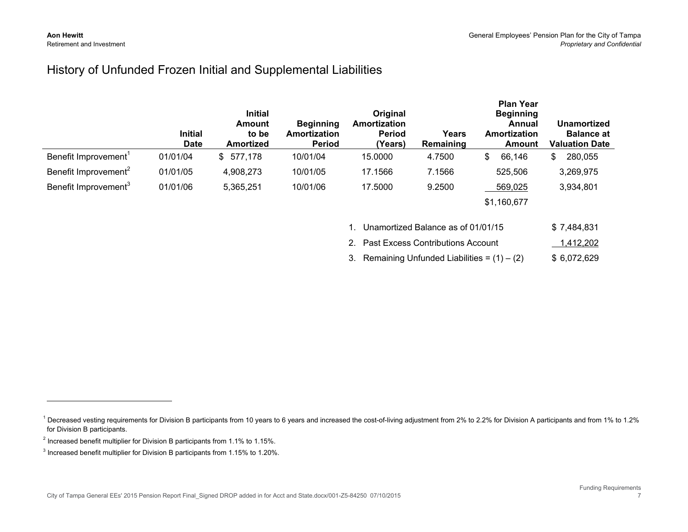#### History of Unfunded Frozen Initial and Supplemental Liabilities

|                                  | <b>Initial</b><br><b>Date</b> | <b>Initial</b><br>Amount<br>to be<br>Amortized | <b>Beginning</b><br><b>Amortization</b><br><b>Period</b> | Original<br>Amortization<br><b>Period</b><br>(Years) | Years<br>Remaining | <b>Plan Year</b><br><b>Beginning</b><br>Annual<br>Amortization<br>Amount | Unamortized<br><b>Balance at</b><br><b>Valuation Date</b> |
|----------------------------------|-------------------------------|------------------------------------------------|----------------------------------------------------------|------------------------------------------------------|--------------------|--------------------------------------------------------------------------|-----------------------------------------------------------|
| Benefit Improvement'             | 01/01/04                      | \$577,178                                      | 10/01/04                                                 | 15.0000                                              | 4.7500             | 66,146<br>\$                                                             | 280,055<br>\$.                                            |
| Benefit Improvement <sup>2</sup> | 01/01/05                      | 4,908,273                                      | 10/01/05                                                 | 17.1566                                              | 7.1566             | 525,506                                                                  | 3,269,975                                                 |
| Benefit Improvement <sup>3</sup> | 01/01/06                      | 5,365,251                                      | 10/01/06                                                 | 17.5000                                              | 9.2500             | 569,025                                                                  | 3,934,801                                                 |
|                                  |                               |                                                |                                                          |                                                      |                    | \$1,160,677                                                              |                                                           |

| 1. Unamortized Balance as of 01/01/15           | \$7.484.831  |
|-------------------------------------------------|--------------|
| 2. Past Excess Contributions Account            | 1,412,202    |
| 3. Remaining Unfunded Liabilities = $(1) - (2)$ | \$ 6.072.629 |

<sup>&</sup>lt;sup>1</sup> Decreased vesting requirements for Division B participants from 10 years to 6 years and increased the cost-of-living adjustment from 2% to 2.2% for Division A participants and from 1% to 1.2% for Division B participants.

 $^{2}$  Increased benefit multiplier for Division B participants from 1.1% to 1.15%.

<sup>&</sup>lt;sup>3</sup> Increased benefit multiplier for Division B participants from 1.15% to 1.20%.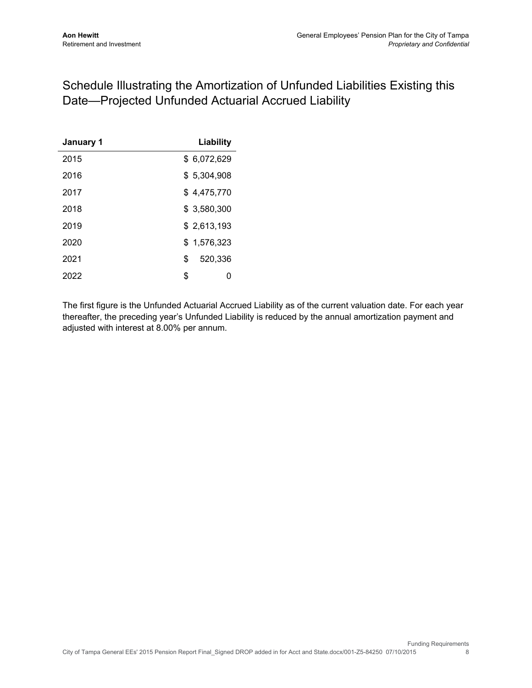## Schedule Illustrating the Amortization of Unfunded Liabilities Existing this Date—Projected Unfunded Actuarial Accrued Liability

| January 1 | Liability     |
|-----------|---------------|
| 2015      | \$ 6,072,629  |
| 2016      | \$5,304,908   |
| 2017      | \$4,475,770   |
| 2018      | \$3,580,300   |
| 2019      | \$2,613,193   |
| 2020      | \$1,576,323   |
| 2021      | \$<br>520.336 |
| 2022      | \$<br>0       |

The first figure is the Unfunded Actuarial Accrued Liability as of the current valuation date. For each year thereafter, the preceding year's Unfunded Liability is reduced by the annual amortization payment and adjusted with interest at 8.00% per annum.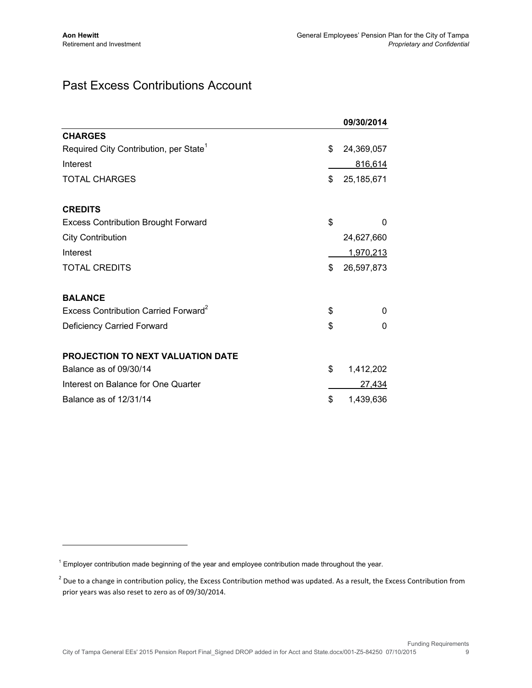### Past Excess Contributions Account

|                                                    | 09/30/2014         |
|----------------------------------------------------|--------------------|
| <b>CHARGES</b>                                     |                    |
| Required City Contribution, per State <sup>1</sup> | \$<br>24,369,057   |
| Interest                                           | 816,614            |
| TOTAL CHARGES                                      | \$<br>25, 185, 671 |
| <b>CREDITS</b>                                     |                    |
| <b>Excess Contribution Brought Forward</b>         | \$<br>$\Omega$     |
| <b>City Contribution</b>                           | 24,627,660         |
| Interest                                           | 1,970,213          |
| <b>TOTAL CREDITS</b>                               | \$<br>26,597,873   |
| <b>BALANCE</b>                                     |                    |
| Excess Contribution Carried Forward <sup>2</sup>   | \$<br>$\Omega$     |
| Deficiency Carried Forward                         | \$<br>$\Omega$     |
| <b>PROJECTION TO NEXT VALUATION DATE</b>           |                    |
| Balance as of 09/30/14                             | \$<br>1,412,202    |
| Interest on Balance for One Quarter                | 27,434             |
| Balance as of 12/31/14                             | \$<br>1,439,636    |

<sup>&</sup>lt;sup>1</sup> Employer contribution made beginning of the year and employee contribution made throughout the year.

 $^2$  Due to a change in contribution policy, the Excess Contribution method was updated. As a result, the Excess Contribution from prior years was also reset to zero as of 09/30/2014.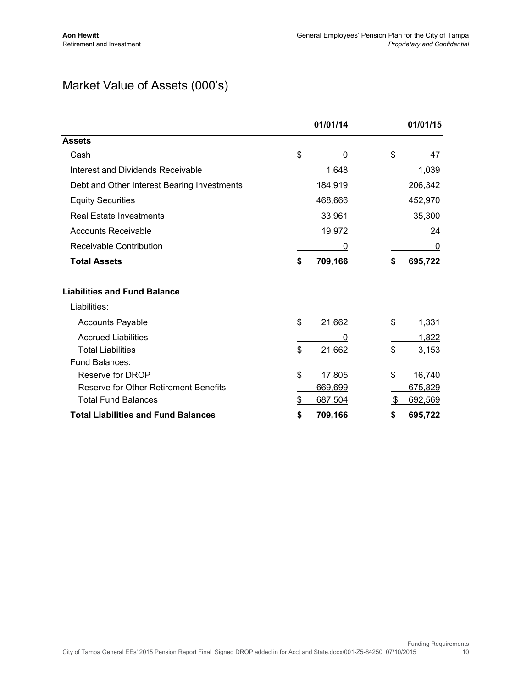## Market Value of Assets (000's)

|                                              | 01/01/14      | 01/01/15       |
|----------------------------------------------|---------------|----------------|
| <b>Assets</b>                                |               |                |
| Cash                                         | \$<br>0       | \$<br>47       |
| Interest and Dividends Receivable            | 1,648         | 1,039          |
| Debt and Other Interest Bearing Investments  | 184,919       | 206,342        |
| <b>Equity Securities</b>                     | 468,666       | 452,970        |
| <b>Real Estate Investments</b>               | 33,961        | 35,300         |
| <b>Accounts Receivable</b>                   | 19,972        | 24             |
| Receivable Contribution                      | 0             | 0              |
| <b>Total Assets</b>                          | \$<br>709,166 | \$<br>695,722  |
| <b>Liabilities and Fund Balance</b>          |               |                |
| Liabilities:                                 |               |                |
| <b>Accounts Payable</b>                      | \$<br>21,662  | \$<br>1,331    |
| <b>Accrued Liabilities</b>                   | 0             | 1,822          |
| <b>Total Liabilities</b>                     | \$<br>21,662  | \$<br>3,153    |
| Fund Balances:                               |               |                |
| Reserve for DROP                             | \$<br>17,805  | \$<br>16,740   |
| <b>Reserve for Other Retirement Benefits</b> | 669,699       | <u>675,829</u> |
| <b>Total Fund Balances</b>                   | \$<br>687,504 | \$<br>692,569  |
| <b>Total Liabilities and Fund Balances</b>   | \$<br>709,166 | \$<br>695,722  |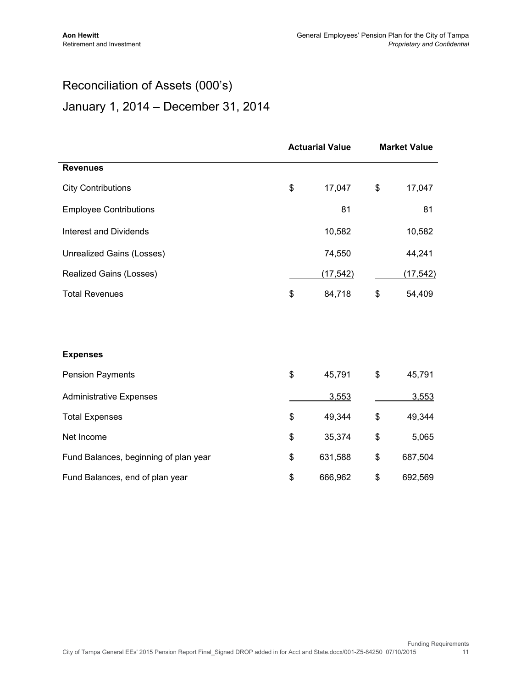$\overline{a}$ 

## Reconciliation of Assets (000's) January 1, 2014 – December 31, 2014

|                                       | <b>Actuarial Value</b> |           | <b>Market Value</b> |           |
|---------------------------------------|------------------------|-----------|---------------------|-----------|
| <b>Revenues</b>                       |                        |           |                     |           |
| <b>City Contributions</b>             | \$                     | 17,047    | \$                  | 17,047    |
| <b>Employee Contributions</b>         |                        | 81        |                     | 81        |
| <b>Interest and Dividends</b>         |                        | 10,582    |                     | 10,582    |
| Unrealized Gains (Losses)             |                        | 74,550    |                     | 44,241    |
| Realized Gains (Losses)               |                        | (17, 542) |                     | (17, 542) |
| <b>Total Revenues</b>                 | \$                     | 84,718    | \$                  | 54,409    |
|                                       |                        |           |                     |           |
| <b>Expenses</b>                       |                        |           |                     |           |
| <b>Pension Payments</b>               | \$                     | 45,791    | \$                  | 45,791    |
| <b>Administrative Expenses</b>        |                        | 3,553     |                     | 3,553     |
| <b>Total Expenses</b>                 | \$                     | 49,344    | \$                  | 49,344    |
| Net Income                            | \$                     | 35,374    | \$                  | 5,065     |
| Fund Balances, beginning of plan year | \$                     | 631,588   | \$                  | 687,504   |
| Fund Balances, end of plan year       | \$                     | 666,962   | \$                  | 692,569   |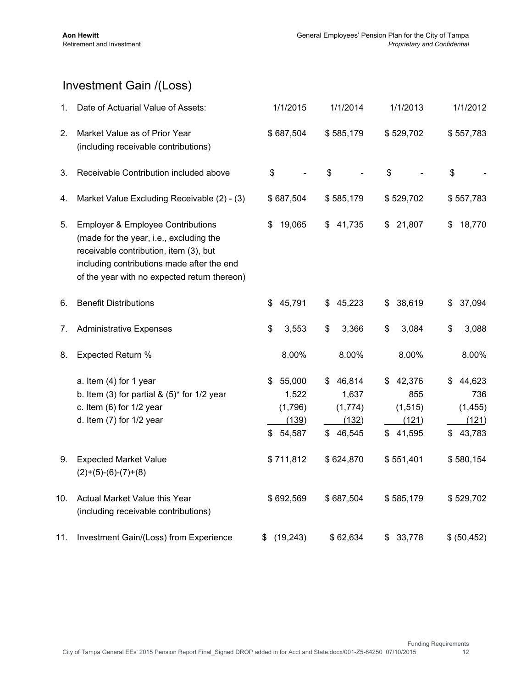## Investment Gain /(Loss)

| 1.              | Date of Actuarial Value of Assets:                                                                                                                                                                                              | 1/1/2015                                                  | 1/1/2014                                                            | 1/1/2013                                             | 1/1/2012                                             |
|-----------------|---------------------------------------------------------------------------------------------------------------------------------------------------------------------------------------------------------------------------------|-----------------------------------------------------------|---------------------------------------------------------------------|------------------------------------------------------|------------------------------------------------------|
| 2.              | Market Value as of Prior Year<br>(including receivable contributions)                                                                                                                                                           | \$687,504                                                 | \$585,179                                                           | \$529,702                                            | \$557,783                                            |
| 3.              | Receivable Contribution included above                                                                                                                                                                                          | \$                                                        | \$                                                                  | \$                                                   | \$                                                   |
| 4.              | Market Value Excluding Receivable (2) - (3)                                                                                                                                                                                     | \$687,504                                                 | \$585,179                                                           | \$529,702                                            | \$557,783                                            |
| 5.              | <b>Employer &amp; Employee Contributions</b><br>(made for the year, i.e., excluding the<br>receivable contribution, item (3), but<br>including contributions made after the end<br>of the year with no expected return thereon) | 19,065<br>\$                                              | 41,735<br>SS.                                                       | 21,807<br>\$                                         | 18,770<br>\$                                         |
| 6.              | <b>Benefit Distributions</b>                                                                                                                                                                                                    | 45,791<br>\$                                              | 45,223<br>\$                                                        | 38,619<br>\$                                         | 37,094<br>\$                                         |
| 7.              | <b>Administrative Expenses</b>                                                                                                                                                                                                  | \$<br>3,553                                               | \$<br>3,366                                                         | 3,084<br>\$                                          | 3,088<br>\$                                          |
| 8.              | Expected Return %                                                                                                                                                                                                               | 8.00%                                                     | 8.00%                                                               | 8.00%                                                | 8.00%                                                |
|                 | a. Item (4) for 1 year<br>b. Item (3) for partial & $(5)^*$ for 1/2 year<br>c. Item $(6)$ for $1/2$ year<br>d. Item $(7)$ for $1/2$ year                                                                                        | 55,000<br>\$<br>1,522<br>(1,796)<br>(139)<br>\$<br>54,587 | 46,814<br>S.<br>1,637<br>(1,774)<br>(132)<br>$\mathbb{S}$<br>46,545 | 42,376<br>\$<br>855<br>(1, 515)<br>(121)<br>\$41,595 | 44,623<br>\$<br>736<br>(1, 455)<br>(121)<br>\$43,783 |
| 9.              | <b>Expected Market Value</b><br>$(2)+(5)-(6)-(7)+(8)$                                                                                                                                                                           | \$711,812                                                 | \$624,870                                                           | \$551,401                                            | \$580,154                                            |
| 10 <sub>1</sub> | Actual Market Value this Year<br>(including receivable contributions)                                                                                                                                                           | \$692,569                                                 | \$687,504                                                           | \$585,179                                            | \$529,702                                            |
| 11.             | Investment Gain/(Loss) from Experience                                                                                                                                                                                          | (19, 243)<br>\$                                           | \$62,634                                                            | 33,778<br>\$                                         | \$ (50, 452)                                         |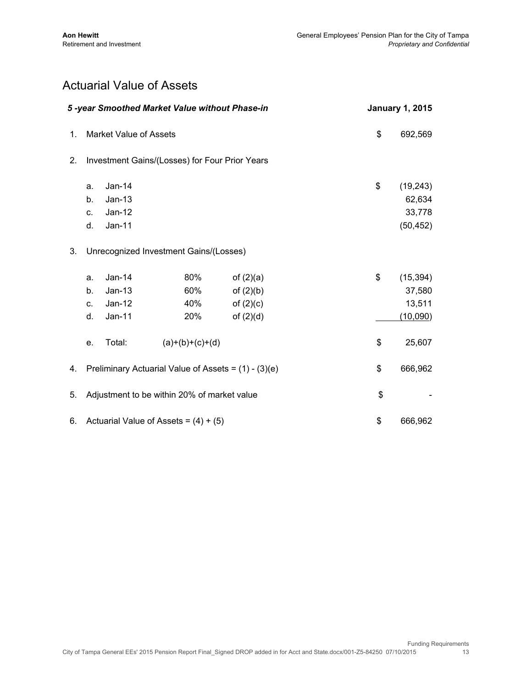### Actuarial Value of Assets

|    | 5-year Smoothed Market Value without Phase-in |                                        | <b>January 1, 2015</b>                                 |                                                          |                                                  |
|----|-----------------------------------------------|----------------------------------------|--------------------------------------------------------|----------------------------------------------------------|--------------------------------------------------|
| 1. |                                               | <b>Market Value of Assets</b>          |                                                        |                                                          | \$<br>692,569                                    |
| 2. |                                               |                                        | Investment Gains/(Losses) for Four Prior Years         |                                                          |                                                  |
|    | a.<br>b <sub>1</sub><br>C.<br>d.              | Jan-14<br>$Jan-13$<br>Jan-12<br>Jan-11 |                                                        |                                                          | \$<br>(19, 243)<br>62,634<br>33,778<br>(50, 452) |
| 3. |                                               |                                        | Unrecognized Investment Gains/(Losses)                 |                                                          |                                                  |
|    | a.<br>b.<br>C.<br>d.                          | Jan-14<br>$Jan-13$<br>Jan-12<br>Jan-11 | 80%<br>60%<br>40%<br>20%                               | of $(2)(a)$<br>of $(2)(b)$<br>of $(2)(c)$<br>of $(2)(d)$ | \$<br>(15, 394)<br>37,580<br>13,511<br>(10,090)  |
|    | е.                                            | Total:                                 | $(a)+(b)+(c)+(d)$                                      |                                                          | \$<br>25,607                                     |
| 4. |                                               |                                        | Preliminary Actuarial Value of Assets = $(1) - (3)(e)$ |                                                          | \$<br>666,962                                    |
| 5. |                                               |                                        | Adjustment to be within 20% of market value            |                                                          | \$                                               |
| 6. |                                               |                                        | Actuarial Value of Assets = $(4) + (5)$                |                                                          | \$<br>666,962                                    |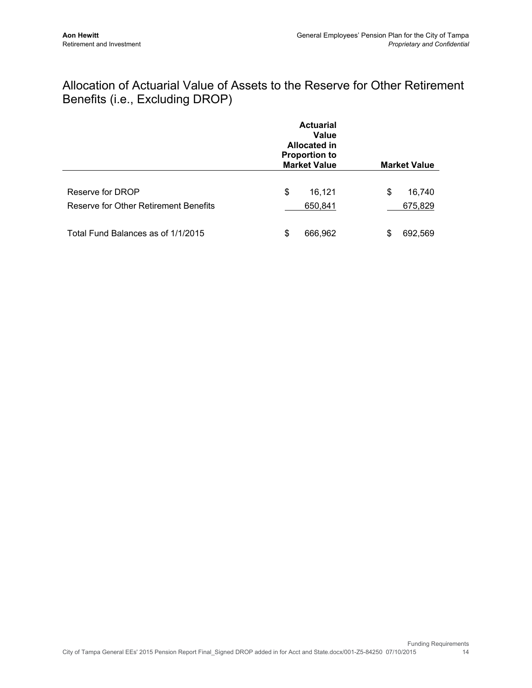### Allocation of Actuarial Value of Assets to the Reserve for Other Retirement Benefits (i.e., Excluding DROP)

|                                                           | <b>Actuarial</b><br>Value<br><b>Allocated in</b><br><b>Proportion to</b><br><b>Market Value</b> | <b>Market Value</b>     |
|-----------------------------------------------------------|-------------------------------------------------------------------------------------------------|-------------------------|
| Reserve for DROP<br>Reserve for Other Retirement Benefits | \$<br>16,121<br>650,841                                                                         | \$<br>16,740<br>675,829 |
| Total Fund Balances as of 1/1/2015                        | 666,962<br>\$                                                                                   | 692,569<br>\$           |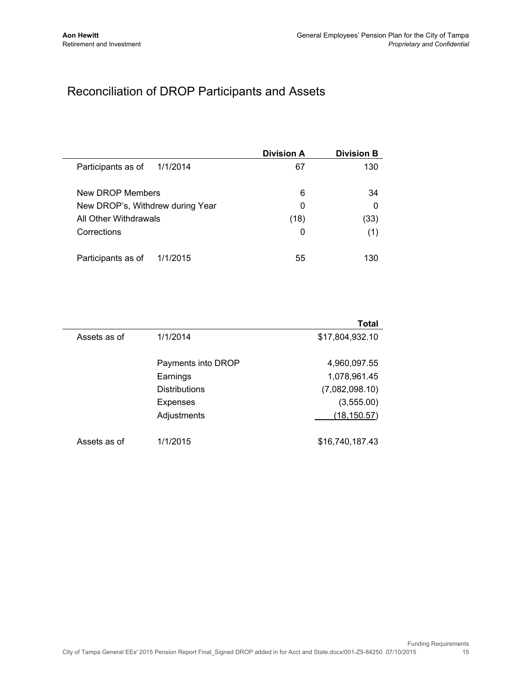## Reconciliation of DROP Participants and Assets

|                                  | <b>Division A</b> | <b>Division B</b> |
|----------------------------------|-------------------|-------------------|
| Participants as of<br>1/1/2014   | 67                | 130               |
| New DROP Members                 | 6                 | 34                |
| New DROP's, Withdrew during Year | 0                 | $\Omega$          |
| All Other Withdrawals            | (18)              | (33)              |
| Corrections                      | 0                 | (1)               |
| Participants as of<br>1/1/2015   | 55                | 130               |

|              |                      | Total           |
|--------------|----------------------|-----------------|
| Assets as of | 1/1/2014             | \$17,804,932.10 |
|              | Payments into DROP   | 4,960,097.55    |
|              | Earnings             | 1,078,961.45    |
|              | <b>Distributions</b> | (7,082,098.10)  |
|              | <b>Expenses</b>      | (3,555.00)      |
|              | Adjustments          | (18, 150.57)    |
| Assets as of | 1/1/2015             | \$16,740,187.43 |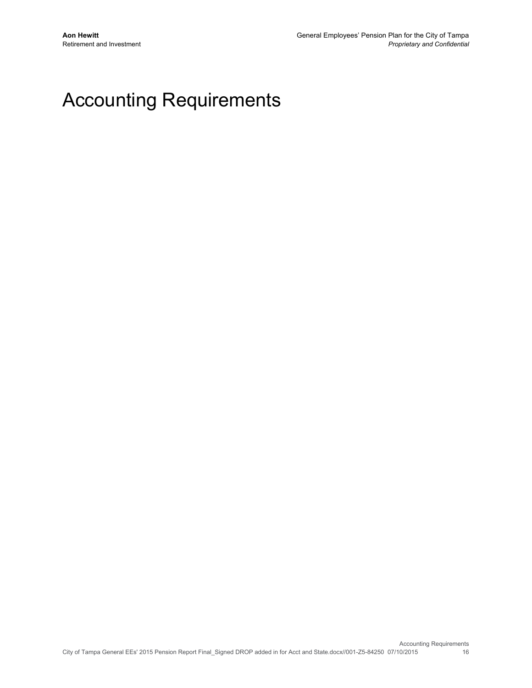## Accounting Requirements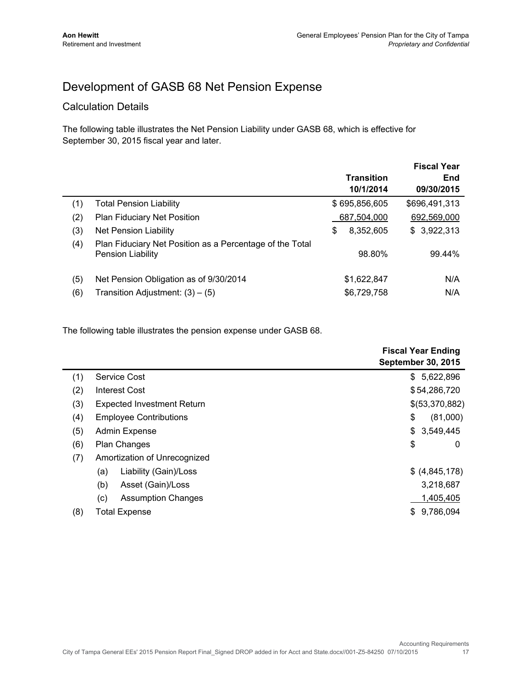## Development of GASB 68 Net Pension Expense

#### Calculation Details

The following table illustrates the Net Pension Liability under GASB 68, which is effective for September 30, 2015 fiscal year and later.

|     |                                                                                      | <b>Transition</b><br>10/1/2014 | <b>Fiscal Year</b><br>End<br>09/30/2015 |
|-----|--------------------------------------------------------------------------------------|--------------------------------|-----------------------------------------|
| (1) | <b>Total Pension Liability</b>                                                       | \$695,856,605                  | \$696,491,313                           |
| (2) | <b>Plan Fiduciary Net Position</b>                                                   | 687,504,000                    | 692,569,000                             |
| (3) | <b>Net Pension Liability</b>                                                         | \$<br>8,352,605                | \$3,922,313                             |
| (4) | Plan Fiduciary Net Position as a Percentage of the Total<br><b>Pension Liability</b> | 98.80%                         | 99.44%                                  |
| (5) | Net Pension Obligation as of 9/30/2014                                               | \$1,622,847                    | N/A                                     |
| (6) | Transition Adjustment: $(3) - (5)$                                                   | \$6,729,758                    | N/A                                     |
|     |                                                                                      |                                |                                         |

The following table illustrates the pension expense under GASB 68.

|                                   | <b>Fiscal Year Ending</b><br><b>September 30, 2015</b> |
|-----------------------------------|--------------------------------------------------------|
| Service Cost                      | 5,622,896<br>\$                                        |
| Interest Cost                     | \$54,286,720                                           |
| <b>Expected Investment Return</b> | \$(53,370,882)                                         |
| <b>Employee Contributions</b>     | \$<br>(81,000)                                         |
| Admin Expense                     | 3,549,445<br>\$                                        |
| <b>Plan Changes</b>               | \$<br>0                                                |
| Amortization of Unrecognized      |                                                        |
| Liability (Gain)/Loss<br>(a)      | \$ (4,845,178)                                         |
| (b)<br>Asset (Gain)/Loss          | 3,218,687                                              |
| (c)<br><b>Assumption Changes</b>  | 1,405,405                                              |
| <b>Total Expense</b>              | 9,786,094<br>\$.                                       |
|                                   |                                                        |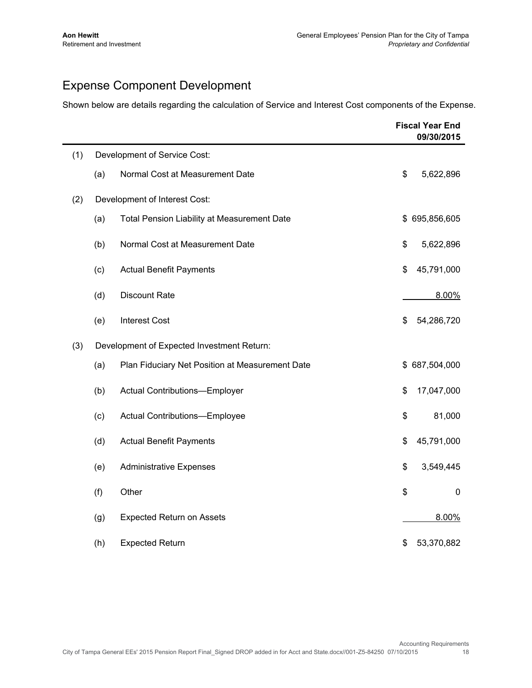## Expense Component Development

Shown below are details regarding the calculation of Service and Interest Cost components of the Expense.

|     |     |                                                    | <b>Fiscal Year End</b><br>09/30/2015 |
|-----|-----|----------------------------------------------------|--------------------------------------|
| (1) |     | Development of Service Cost:                       |                                      |
|     | (a) | Normal Cost at Measurement Date                    | \$<br>5,622,896                      |
| (2) |     | Development of Interest Cost:                      |                                      |
|     | (a) | <b>Total Pension Liability at Measurement Date</b> | \$695,856,605                        |
|     | (b) | Normal Cost at Measurement Date                    | \$<br>5,622,896                      |
|     | (c) | <b>Actual Benefit Payments</b>                     | \$<br>45,791,000                     |
|     | (d) | <b>Discount Rate</b>                               | 8.00%                                |
|     | (e) | <b>Interest Cost</b>                               | \$<br>54,286,720                     |
| (3) |     | Development of Expected Investment Return:         |                                      |
|     | (a) | Plan Fiduciary Net Position at Measurement Date    | \$687,504,000                        |
|     | (b) | Actual Contributions-Employer                      | \$<br>17,047,000                     |
|     | (c) | Actual Contributions-Employee                      | \$<br>81,000                         |
|     | (d) | <b>Actual Benefit Payments</b>                     | \$<br>45,791,000                     |
|     | (e) | <b>Administrative Expenses</b>                     | \$<br>3,549,445                      |
|     | (f) | Other                                              | \$<br>$\mathbf 0$                    |
|     | (g) | <b>Expected Return on Assets</b>                   | 8.00%                                |
|     | (h) | <b>Expected Return</b>                             | \$<br>53,370,882                     |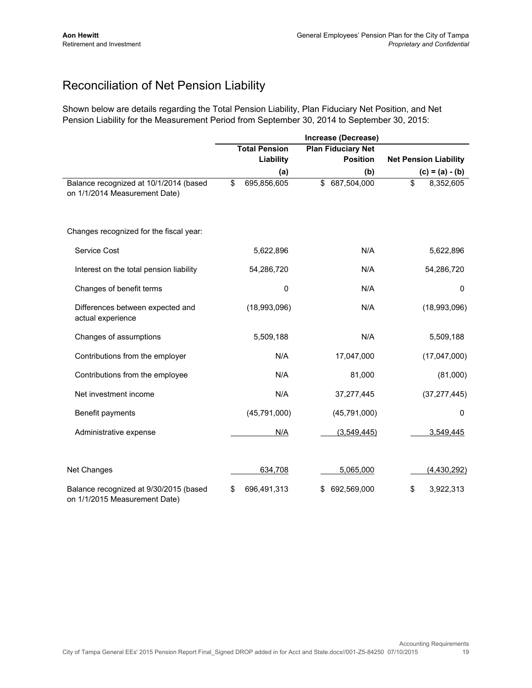## Reconciliation of Net Pension Liability

Shown below are details regarding the Total Pension Liability, Plan Fiduciary Net Position, and Net Pension Liability for the Measurement Period from September 30, 2014 to September 30, 2015:

|                                                                         | Increase (Decrease) |                      |    |                           |    |                              |
|-------------------------------------------------------------------------|---------------------|----------------------|----|---------------------------|----|------------------------------|
|                                                                         |                     | <b>Total Pension</b> |    | <b>Plan Fiduciary Net</b> |    |                              |
|                                                                         |                     | Liability            |    | <b>Position</b>           |    | <b>Net Pension Liability</b> |
|                                                                         |                     | (a)                  |    | (b)                       |    | $(c) = (a) - (b)$            |
| Balance recognized at 10/1/2014 (based<br>on 1/1/2014 Measurement Date) | \$                  | 695,856,605          | \$ | 687,504,000               | \$ | 8,352,605                    |
| Changes recognized for the fiscal year:                                 |                     |                      |    |                           |    |                              |
| Service Cost                                                            |                     | 5,622,896            |    | N/A                       |    | 5,622,896                    |
| Interest on the total pension liability                                 |                     | 54,286,720           |    | N/A                       |    | 54,286,720                   |
| Changes of benefit terms                                                |                     | 0                    |    | N/A                       |    | $\Omega$                     |
| Differences between expected and<br>actual experience                   |                     | (18,993,096)         |    | N/A                       |    | (18,993,096)                 |
| Changes of assumptions                                                  |                     | 5,509,188            |    | N/A                       |    | 5,509,188                    |
| Contributions from the employer                                         |                     | N/A                  |    | 17,047,000                |    | (17,047,000)                 |
| Contributions from the employee                                         |                     | N/A                  |    | 81,000                    |    | (81,000)                     |
| Net investment income                                                   |                     | N/A                  |    | 37,277,445                |    | (37, 277, 445)               |
| Benefit payments                                                        |                     | (45, 791, 000)       |    | (45, 791, 000)            |    | $\Omega$                     |
| Administrative expense                                                  |                     | N/A                  |    | (3,549,445)               |    | 3,549,445                    |
| <b>Net Changes</b>                                                      |                     | 634,708              |    | 5,065,000                 |    | (4,430,292)                  |
| Balance recognized at 9/30/2015 (based<br>on 1/1/2015 Measurement Date) | S                   | 696,491,313          |    | 692,569,000               | \$ | 3,922,313                    |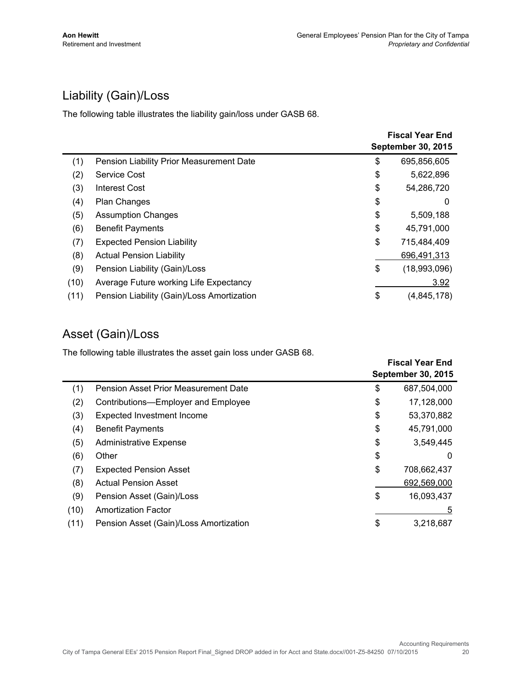## Liability (Gain)/Loss

The following table illustrates the liability gain/loss under GASB 68.

|      |                                            | <b>Fiscal Year End</b><br><b>September 30, 2015</b> |              |
|------|--------------------------------------------|-----------------------------------------------------|--------------|
| (1)  | Pension Liability Prior Measurement Date   | \$                                                  | 695,856,605  |
| (2)  | Service Cost                               | \$                                                  | 5,622,896    |
| (3)  | Interest Cost                              | \$                                                  | 54,286,720   |
| (4)  | <b>Plan Changes</b>                        | \$                                                  | 0            |
| (5)  | <b>Assumption Changes</b>                  | \$                                                  | 5,509,188    |
| (6)  | <b>Benefit Payments</b>                    | \$                                                  | 45,791,000   |
| (7)  | <b>Expected Pension Liability</b>          | \$                                                  | 715,484,409  |
| (8)  | <b>Actual Pension Liability</b>            |                                                     | 696,491,313  |
| (9)  | Pension Liability (Gain)/Loss              | \$                                                  | (18,993,096) |
| (10) | Average Future working Life Expectancy     |                                                     | 3.92         |
| (11) | Pension Liability (Gain)/Loss Amortization | \$                                                  | (4,845,178)  |

## Asset (Gain)/Loss

The following table illustrates the asset gain loss under GASB 68.

|      |                                        | <b>Fiscal Year End</b> |                           |
|------|----------------------------------------|------------------------|---------------------------|
|      |                                        |                        | <b>September 30, 2015</b> |
| (1)  | Pension Asset Prior Measurement Date   | \$                     | 687,504,000               |
| (2)  | Contributions-Employer and Employee    | \$                     | 17,128,000                |
| (3)  | Expected Investment Income             | \$                     | 53,370,882                |
| (4)  | <b>Benefit Payments</b>                | \$                     | 45,791,000                |
| (5)  | <b>Administrative Expense</b>          | \$                     | 3,549,445                 |
| (6)  | Other                                  | \$                     | 0                         |
| (7)  | <b>Expected Pension Asset</b>          | \$                     | 708,662,437               |
| (8)  | <b>Actual Pension Asset</b>            |                        | 692,569,000               |
| (9)  | Pension Asset (Gain)/Loss              | \$                     | 16,093,437                |
| (10) | <b>Amortization Factor</b>             |                        | 5                         |
| (11) | Pension Asset (Gain)/Loss Amortization | \$                     | 3.218.687                 |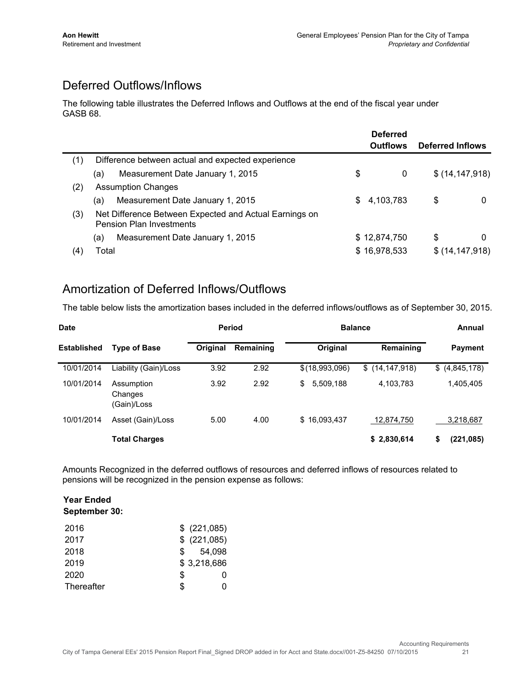## Deferred Outflows/Inflows

The following table illustrates the Deferred Inflows and Outflows at the end of the fiscal year under GASB 68.

|     |                                                                                           |     | <b>Deferred</b><br><b>Outflows</b> | Deferred Inflows |   |
|-----|-------------------------------------------------------------------------------------------|-----|------------------------------------|------------------|---|
| (1) | Difference between actual and expected experience                                         |     |                                    |                  |   |
|     | Measurement Date January 1, 2015<br>(a)                                                   | \$  | 0                                  | \$(14, 147, 918) |   |
| (2) | <b>Assumption Changes</b>                                                                 |     |                                    |                  |   |
|     | Measurement Date January 1, 2015<br>(a)                                                   | \$. | 4,103,783                          | \$               | 0 |
| (3) | Net Difference Between Expected and Actual Earnings on<br><b>Pension Plan Investments</b> |     |                                    |                  |   |
|     | Measurement Date January 1, 2015<br>(a)                                                   |     | \$12,874,750                       | \$               | 0 |
| (4) | Total                                                                                     |     | \$16,978,533                       | \$(14, 147, 918) |   |

#### Amortization of Deferred Inflows/Outflows

The table below lists the amortization bases included in the deferred inflows/outflows as of September 30, 2015.

| <b>Date</b>        |                                      | <b>Period</b> |           | <b>Balance</b>  | Annual           |                 |
|--------------------|--------------------------------------|---------------|-----------|-----------------|------------------|-----------------|
| <b>Established</b> | <b>Type of Base</b>                  | Original      | Remaining | Original        | Remaining        | <b>Payment</b>  |
| 10/01/2014         | Liability (Gain)/Loss                | 3.92          | 2.92      | \$(18,993,096)  | \$(14, 147, 918) | \$ (4,845,178)  |
| 10/01/2014         | Assumption<br>Changes<br>(Gain)/Loss | 3.92          | 2.92      | 5,509,188<br>\$ | 4,103,783        | 1,405,405       |
| 10/01/2014         | Asset (Gain)/Loss                    | 5.00          | 4.00      | \$16,093,437    | 12.874.750       | 3,218,687       |
|                    | <b>Total Charges</b>                 |               |           |                 | \$2,830,614      | \$<br>(221,085) |

Amounts Recognized in the deferred outflows of resources and deferred inflows of resources related to pensions will be recognized in the pension expense as follows:

#### **Year Ended September 30:**

| 2016       | \$ (221,085)  |
|------------|---------------|
| 2017       | $$$ (221,085) |
| 2018       | 54,098<br>SS. |
| 2019       | \$3,218,686   |
| 2020       | S             |
| Thereafter | \$.           |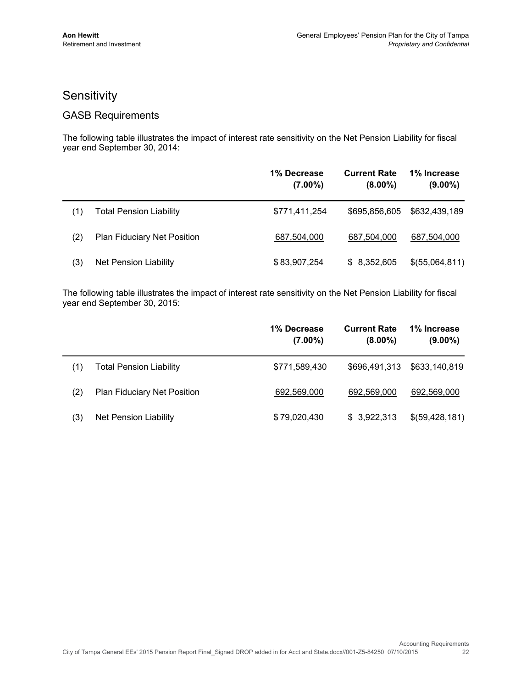#### **Sensitivity**

#### GASB Requirements

The following table illustrates the impact of interest rate sensitivity on the Net Pension Liability for fiscal year end September 30, 2014:

|     |                                    | 1% Decrease<br>$(7.00\%)$ | <b>Current Rate</b><br>$(8.00\%)$ | 1% Increase<br>$(9.00\%)$ |
|-----|------------------------------------|---------------------------|-----------------------------------|---------------------------|
| (1) | <b>Total Pension Liability</b>     | \$771,411,254             | \$695,856,605                     | \$632,439,189             |
| (2) | <b>Plan Fiduciary Net Position</b> | 687,504,000               | 687,504,000                       | 687,504,000               |
| (3) | Net Pension Liability              | \$83,907,254              | \$8,352,605                       | \$(55,064,811)            |

The following table illustrates the impact of interest rate sensitivity on the Net Pension Liability for fiscal year end September 30, 2015:

|     |                                    | 1% Decrease<br>$(7.00\%)$ | <b>Current Rate</b><br>$(8.00\%)$ | 1% Increase<br>$(9.00\%)$ |
|-----|------------------------------------|---------------------------|-----------------------------------|---------------------------|
| (1) | <b>Total Pension Liability</b>     | \$771,589,430             | \$696,491,313                     | \$633,140,819             |
| (2) | <b>Plan Fiduciary Net Position</b> | 692,569,000               | 692,569,000                       | 692,569,000               |
| (3) | <b>Net Pension Liability</b>       | \$79,020,430              | \$3,922,313                       | \$(59,428,181)            |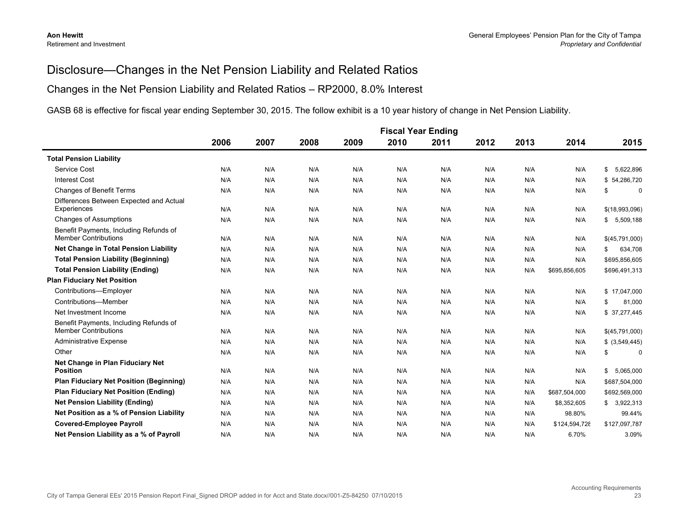#### Disclosure—Changes in the Net Pension Liability and Related Ratios

#### Changes in the Net Pension Liability and Related Ratios – RP2000, 8.0% Interest

GASB 68 is effective for fiscal year ending September 30, 2015. The follow exhibit is a 10 year history of change in Net Pension Liability.

|                                                                       | <b>Fiscal Year Ending</b> |      |      |      |      |      |      |      |               |                     |
|-----------------------------------------------------------------------|---------------------------|------|------|------|------|------|------|------|---------------|---------------------|
|                                                                       | 2006                      | 2007 | 2008 | 2009 | 2010 | 2011 | 2012 | 2013 | 2014          | 2015                |
| <b>Total Pension Liability</b>                                        |                           |      |      |      |      |      |      |      |               |                     |
| Service Cost                                                          | N/A                       | N/A  | N/A  | N/A  | N/A  | N/A  | N/A  | N/A  | N/A           | 5,622,896<br>\$     |
| <b>Interest Cost</b>                                                  | N/A                       | N/A  | N/A  | N/A  | N/A  | N/A  | N/A  | N/A  | N/A           | \$54,286,720        |
| <b>Changes of Benefit Terms</b>                                       | N/A                       | N/A  | N/A  | N/A  | N/A  | N/A  | N/A  | N/A  | N/A           | \$<br>$\mathbf 0$   |
| Differences Between Expected and Actual<br>Experiences                | N/A                       | N/A  | N/A  | N/A  | N/A  | N/A  | N/A  | N/A  | N/A           | \$(18,993,096)      |
| <b>Changes of Assumptions</b>                                         | N/A                       | N/A  | N/A  | N/A  | N/A  | N/A  | N/A  | N/A  | N/A           | 5,509,188<br>\$     |
| Benefit Payments, Including Refunds of                                |                           |      |      |      |      |      |      |      |               |                     |
| <b>Member Contributions</b>                                           | N/A                       | N/A  | N/A  | N/A  | N/A  | N/A  | N/A  | N/A  | N/A           | \$(45,791,000)      |
| Net Change in Total Pension Liability                                 | N/A                       | N/A  | N/A  | N/A  | N/A  | N/A  | N/A  | N/A  | N/A           | \$<br>634,708       |
| <b>Total Pension Liability (Beginning)</b>                            | N/A                       | N/A  | N/A  | N/A  | N/A  | N/A  | N/A  | N/A  | N/A           | \$695,856,605       |
| <b>Total Pension Liability (Ending)</b>                               | N/A                       | N/A  | N/A  | N/A  | N/A  | N/A  | N/A  | N/A  | \$695,856,605 | \$696,491,313       |
| <b>Plan Fiduciary Net Position</b>                                    |                           |      |      |      |      |      |      |      |               |                     |
| Contributions-Employer                                                | N/A                       | N/A  | N/A  | N/A  | N/A  | N/A  | N/A  | N/A  | N/A           | \$17,047,000        |
| Contributions-Member                                                  | N/A                       | N/A  | N/A  | N/A  | N/A  | N/A  | N/A  | N/A  | N/A           | \$<br>81,000        |
| Net Investment Income                                                 | N/A                       | N/A  | N/A  | N/A  | N/A  | N/A  | N/A  | N/A  | N/A           | \$ 37,277,445       |
| Benefit Payments, Including Refunds of<br><b>Member Contributions</b> | N/A                       | N/A  | N/A  | N/A  | N/A  | N/A  | N/A  | N/A  | N/A           | \$(45,791,000)      |
| <b>Administrative Expense</b>                                         | N/A                       | N/A  | N/A  | N/A  | N/A  | N/A  | N/A  | N/A  | N/A           | $$$ (3,549,445)     |
| Other                                                                 | N/A                       | N/A  | N/A  | N/A  | N/A  | N/A  | N/A  | N/A  | N/A           | \$<br>0             |
| Net Change in Plan Fiduciary Net<br><b>Position</b>                   | N/A                       | N/A  | N/A  | N/A  | N/A  | N/A  | N/A  | N/A  | N/A           | 5,065,000           |
| <b>Plan Fiduciary Net Position (Beginning)</b>                        | N/A                       | N/A  | N/A  | N/A  | N/A  | N/A  | N/A  | N/A  | N/A           | \$<br>\$687,504,000 |
| <b>Plan Fiduciary Net Position (Ending)</b>                           | N/A                       | N/A  | N/A  | N/A  | N/A  | N/A  | N/A  | N/A  | \$687,504,000 | \$692,569,000       |
| <b>Net Pension Liability (Ending)</b>                                 |                           |      |      |      |      |      |      |      |               |                     |
|                                                                       | N/A                       | N/A  | N/A  | N/A  | N/A  | N/A  | N/A  | N/A  | \$8,352,605   | 3,922,313<br>\$     |
| Net Position as a % of Pension Liability                              | N/A                       | N/A  | N/A  | N/A  | N/A  | N/A  | N/A  | N/A  | 98.80%        | 99.44%              |
| <b>Covered-Employee Payroll</b>                                       | N/A                       | N/A  | N/A  | N/A  | N/A  | N/A  | N/A  | N/A  | \$124,594,728 | \$127,097,787       |
| Net Pension Liability as a % of Payroll                               | N/A                       | N/A  | N/A  | N/A  | N/A  | N/A  | N/A  | N/A  | 6.70%         | 3.09%               |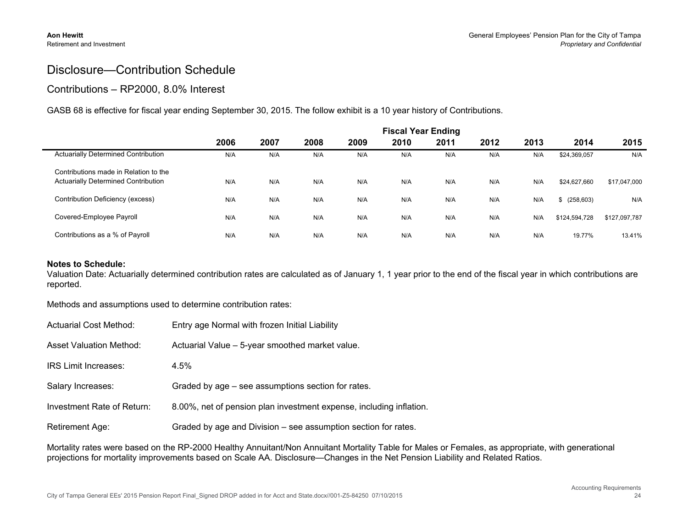$\blacksquare$ 

#### Disclosure—Contribution Schedule

#### Contributions – RP2000, 8.0% Interest

GASB 68 is effective for fiscal year ending September 30, 2015. The follow exhibit is a 10 year history of Contributions.

|                                                                                     | <b>Fiscal Year Ending</b> |      |      |      |      |      |      |      |               |               |
|-------------------------------------------------------------------------------------|---------------------------|------|------|------|------|------|------|------|---------------|---------------|
|                                                                                     | 2006                      | 2007 | 2008 | 2009 | 2010 | 2011 | 2012 | 2013 | 2014          | 2015          |
| <b>Actuarially Determined Contribution</b>                                          | N/A                       | N/A  | N/A  | N/A  | N/A  | N/A  | N/A  | N/A  | \$24,369,057  | N/A           |
| Contributions made in Relation to the<br><b>Actuarially Determined Contribution</b> | N/A                       | N/A  | N/A  | N/A  | N/A  | N/A  | N/A  | N/A  | \$24,627,660  | \$17,047,000  |
| Contribution Deficiency (excess)                                                    | N/A                       | N/A  | N/A  | N/A  | N/A  | N/A  | N/A  | N/A  | \$ (258,603)  | N/A           |
| Covered-Employee Payroll                                                            | N/A                       | N/A  | N/A  | N/A  | N/A  | N/A  | N/A  | N/A  | \$124.594.728 | \$127,097,787 |
| Contributions as a % of Payroll                                                     | N/A                       | N/A  | N/A  | N/A  | N/A  | N/A  | N/A  | N/A  | 19.77%        | 13.41%        |

#### **Notes to Schedule:**

Valuation Date: Actuarially determined contribution rates are calculated as of January 1, 1 year prior to the end of the fiscal year in which contributions are reported.

Methods and assumptions used to determine contribution rates:

| Actuarial Cost Method:         | Entry age Normal with frozen Initial Liability                      |
|--------------------------------|---------------------------------------------------------------------|
| <b>Asset Valuation Method:</b> | Actuarial Value - 5-year smoothed market value.                     |
| <b>IRS Limit Increases:</b>    | 4.5%                                                                |
| Salary Increases:              | Graded by age – see assumptions section for rates.                  |
| Investment Rate of Return:     | 8.00%, net of pension plan investment expense, including inflation. |
| Retirement Age:                | Graded by age and Division – see assumption section for rates.      |

Mortality rates were based on the RP-2000 Healthy Annuitant/Non Annuitant Mortality Table for Males or Females, as appropriate, with generational projections for mortality improvements based on Scale AA. Disclosure—Changes in the Net Pension Liability and Related Ratios.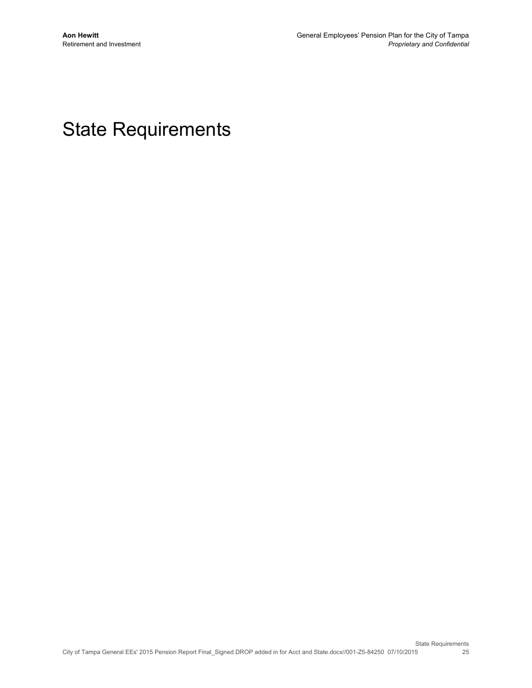## State Requirements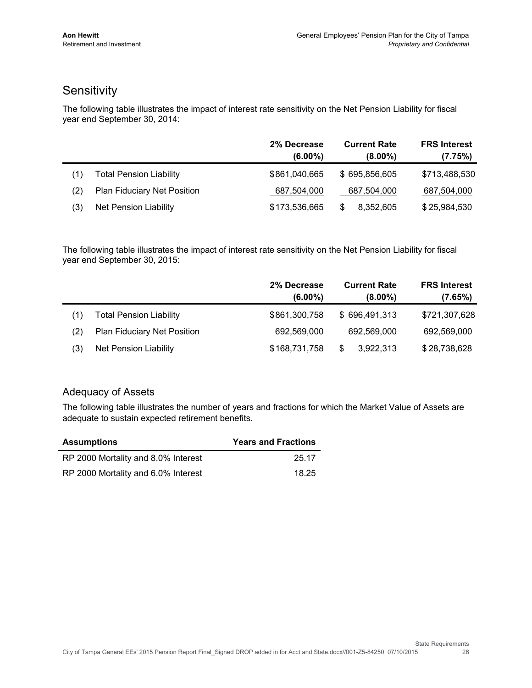### **Sensitivity**

The following table illustrates the impact of interest rate sensitivity on the Net Pension Liability for fiscal year end September 30, 2014:

|     |                                    | 2% Decrease<br>$(6.00\%)$ | <b>Current Rate</b><br>$(8.00\%)$ | <b>FRS Interest</b><br>(7.75%) |
|-----|------------------------------------|---------------------------|-----------------------------------|--------------------------------|
| (1) | <b>Total Pension Liability</b>     | \$861,040,665             | \$695,856,605                     | \$713,488,530                  |
| (2) | <b>Plan Fiduciary Net Position</b> | 687,504,000               | 687,504,000                       | 687,504,000                    |
| (3) | Net Pension Liability              | \$173,536,665             | 8,352,605<br>S                    | \$25,984,530                   |

The following table illustrates the impact of interest rate sensitivity on the Net Pension Liability for fiscal year end September 30, 2015:

|     |                                | 2% Decrease<br>$(6.00\%)$ | <b>Current Rate</b><br>$(8.00\%)$ | <b>FRS Interest</b><br>(7.65%) |
|-----|--------------------------------|---------------------------|-----------------------------------|--------------------------------|
| (1) | <b>Total Pension Liability</b> | \$861,300,758             | \$696,491,313                     | \$721,307,628                  |
| (2) | Plan Fiduciary Net Position    | 692,569,000               | 692,569,000                       | 692,569,000                    |
| (3) | Net Pension Liability          | \$168,731,758             | 3,922,313<br>\$                   | \$28,738,628                   |

#### Adequacy of Assets

The following table illustrates the number of years and fractions for which the Market Value of Assets are adequate to sustain expected retirement benefits.

| <b>Assumptions</b>                  | <b>Years and Fractions</b> |
|-------------------------------------|----------------------------|
| RP 2000 Mortality and 8.0% Interest | 25.17                      |
| RP 2000 Mortality and 6.0% Interest | 18.25                      |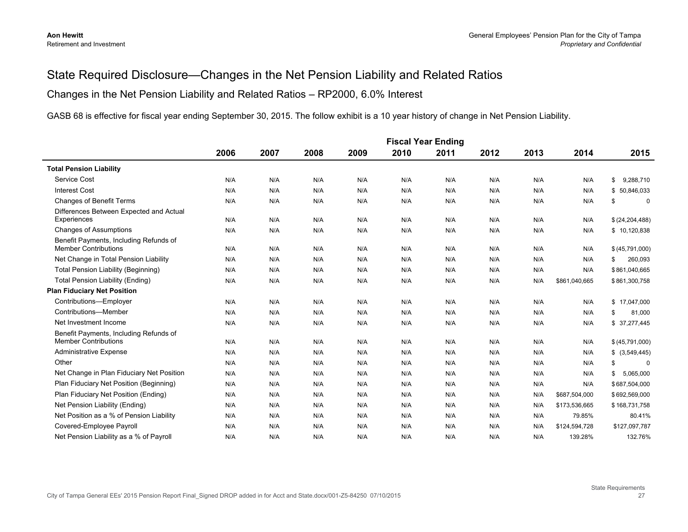#### State Required Disclosure—Changes in the Net Pension Liability and Related Ratios

#### Changes in the Net Pension Liability and Related Ratios – RP2000, 6.0% Interest

GASB 68 is effective for fiscal year ending September 30, 2015. The follow exhibit is a 10 year history of change in Net Pension Liability.

|                                                                       | <b>Fiscal Year Ending</b> |      |      |      |      |      |      |      |               |                   |
|-----------------------------------------------------------------------|---------------------------|------|------|------|------|------|------|------|---------------|-------------------|
|                                                                       | 2006                      | 2007 | 2008 | 2009 | 2010 | 2011 | 2012 | 2013 | 2014          | 2015              |
| <b>Total Pension Liability</b>                                        |                           |      |      |      |      |      |      |      |               |                   |
| Service Cost                                                          | N/A                       | N/A  | N/A  | N/A  | N/A  | N/A  | N/A  | N/A  | N/A           | 9,288,710<br>\$   |
| <b>Interest Cost</b>                                                  | N/A                       | N/A  | N/A  | N/A  | N/A  | N/A  | N/A  | N/A  | N/A           | \$50,846,033      |
| <b>Changes of Benefit Terms</b>                                       | N/A                       | N/A  | N/A  | N/A  | N/A  | N/A  | N/A  | N/A  | N/A           | \$<br>$\mathbf 0$ |
| Differences Between Expected and Actual                               |                           |      |      |      |      |      |      |      |               |                   |
| Experiences                                                           | N/A                       | N/A  | N/A  | N/A  | N/A  | N/A  | N/A  | N/A  | N/A           | \$ (24, 204, 488) |
| <b>Changes of Assumptions</b>                                         | N/A                       | N/A  | N/A  | N/A  | N/A  | N/A  | N/A  | N/A  | N/A           | \$10,120,838      |
| Benefit Payments, Including Refunds of<br><b>Member Contributions</b> | N/A                       | N/A  | N/A  | N/A  | N/A  | N/A  | N/A  | N/A  | N/A           | \$ (45,791,000)   |
| Net Change in Total Pension Liability                                 | N/A                       | N/A  | N/A  | N/A  | N/A  | N/A  | N/A  | N/A  | N/A           | 260,093<br>\$     |
| <b>Total Pension Liability (Beginning)</b>                            | N/A                       | N/A  | N/A  | N/A  | N/A  | N/A  | N/A  | N/A  | N/A           | \$861,040,665     |
| <b>Total Pension Liability (Ending)</b>                               | N/A                       | N/A  | N/A  | N/A  | N/A  | N/A  | N/A  | N/A  | \$861,040,665 | \$861,300,758     |
| <b>Plan Fiduciary Net Position</b>                                    |                           |      |      |      |      |      |      |      |               |                   |
| Contributions-Employer                                                | N/A                       | N/A  | N/A  | N/A  | N/A  | N/A  | N/A  | N/A  | N/A           | \$17,047,000      |
| Contributions-Member                                                  | N/A                       | N/A  | N/A  | N/A  | N/A  | N/A  | N/A  | N/A  | N/A           | 81,000<br>\$      |
| Net Investment Income                                                 | N/A                       | N/A  | N/A  | N/A  | N/A  | N/A  | N/A  | N/A  | N/A           | \$ 37,277,445     |
| Benefit Payments, Including Refunds of                                |                           |      |      |      |      |      |      |      |               |                   |
| <b>Member Contributions</b>                                           | N/A                       | N/A  | N/A  | N/A  | N/A  | N/A  | N/A  | N/A  | N/A           | \$ (45,791,000)   |
| <b>Administrative Expense</b>                                         | N/A                       | N/A  | N/A  | N/A  | N/A  | N/A  | N/A  | N/A  | N/A           | \$ (3,549,445)    |
| Other                                                                 | N/A                       | N/A  | N/A  | N/A  | N/A  | N/A  | N/A  | N/A  | N/A           | \$<br>0           |
| Net Change in Plan Fiduciary Net Position                             | N/A                       | N/A  | N/A  | N/A  | N/A  | N/A  | N/A  | N/A  | N/A           | 5,065,000<br>\$   |
| Plan Fiduciary Net Position (Beginning)                               | N/A                       | N/A  | N/A  | N/A  | N/A  | N/A  | N/A  | N/A  | N/A           | \$687,504,000     |
| Plan Fiduciary Net Position (Ending)                                  | N/A                       | N/A  | N/A  | N/A  | N/A  | N/A  | N/A  | N/A  | \$687,504,000 | \$692,569,000     |
| Net Pension Liability (Ending)                                        | N/A                       | N/A  | N/A  | N/A  | N/A  | N/A  | N/A  | N/A  | \$173,536,665 | \$168,731,758     |
| Net Position as a % of Pension Liability                              | N/A                       | N/A  | N/A  | N/A  | N/A  | N/A  | N/A  | N/A  | 79.85%        | 80.41%            |
| Covered-Employee Payroll                                              | N/A                       | N/A  | N/A  | N/A  | N/A  | N/A  | N/A  | N/A  | \$124,594,728 | \$127,097,787     |
| Net Pension Liability as a % of Payroll                               | N/A                       | N/A  | N/A  | N/A  | N/A  | N/A  | N/A  | N/A  | 139.28%       | 132.76%           |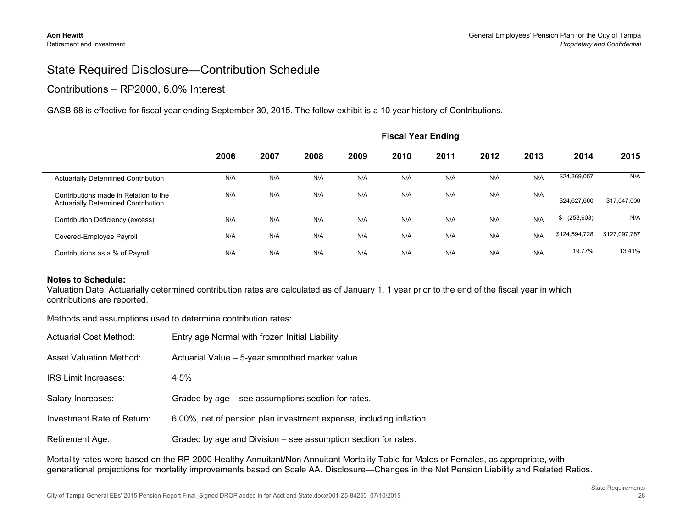#### State Required Disclosure—Contribution Schedule

#### Contributions – RP2000, 6.0% Interest

GASB 68 is effective for fiscal year ending September 30, 2015. The follow exhibit is a 10 year history of Contributions.

|                                                                                     | <b>Fiscal Year Ending</b> |      |      |      |      |      |      |      |                  |               |
|-------------------------------------------------------------------------------------|---------------------------|------|------|------|------|------|------|------|------------------|---------------|
|                                                                                     | 2006                      | 2007 | 2008 | 2009 | 2010 | 2011 | 2012 | 2013 | 2014             | 2015          |
| <b>Actuarially Determined Contribution</b>                                          | N/A                       | N/A  | N/A  | N/A  | N/A  | N/A  | N/A  | N/A  | \$24,369,057     | N/A           |
| Contributions made in Relation to the<br><b>Actuarially Determined Contribution</b> | N/A                       | N/A  | N/A  | N/A  | N/A  | N/A  | N/A  | N/A  | \$24,627,660     | \$17,047,000  |
| Contribution Deficiency (excess)                                                    | N/A                       | N/A  | N/A  | N/A  | N/A  | N/A  | N/A  | N/A  | (258, 603)<br>S. | N/A           |
| Covered-Employee Payroll                                                            | N/A                       | N/A  | N/A  | N/A  | N/A  | N/A  | N/A  | N/A  | \$124,594,728    | \$127,097,787 |
| Contributions as a % of Payroll                                                     | N/A                       | N/A  | N/A  | N/A  | N/A  | N/A  | N/A  | N/A  | 19.77%           | 13.41%        |

#### **Notes to Schedule:**

Valuation Date: Actuarially determined contribution rates are calculated as of January 1, 1 year prior to the end of the fiscal year in which contributions are reported.

Methods and assumptions used to determine contribution rates:

| Actuarial Cost Method:         | Entry age Normal with frozen Initial Liability                      |
|--------------------------------|---------------------------------------------------------------------|
| <b>Asset Valuation Method:</b> | Actuarial Value - 5-year smoothed market value.                     |
| <b>IRS Limit Increases:</b>    | 4.5%                                                                |
| Salary Increases:              | Graded by age – see assumptions section for rates.                  |
| Investment Rate of Return:     | 6.00%, net of pension plan investment expense, including inflation. |
| <b>Retirement Age:</b>         | Graded by age and Division – see assumption section for rates.      |

Mortality rates were based on the RP-2000 Healthy Annuitant/Non Annuitant Mortality Table for Males or Females, as appropriate, with generational projections for mortality improvements based on Scale AA. Disclosure—Changes in the Net Pension Liability and Related Ratios.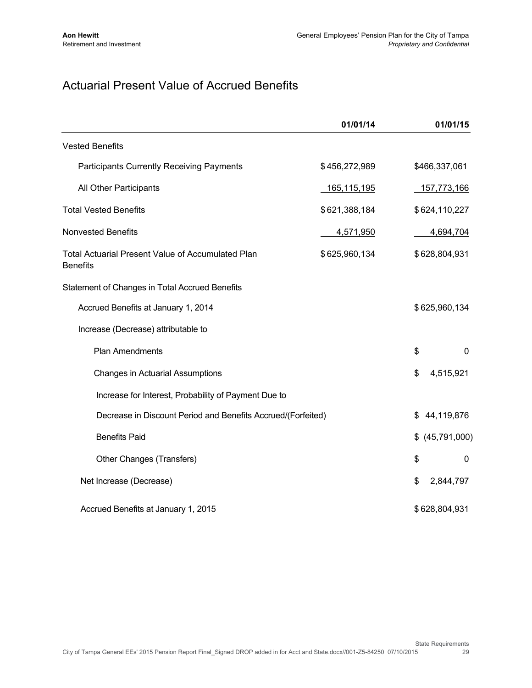## Actuarial Present Value of Accrued Benefits

|                                                                             | 01/01/14      | 01/01/15           |   |
|-----------------------------------------------------------------------------|---------------|--------------------|---|
| <b>Vested Benefits</b>                                                      |               |                    |   |
| <b>Participants Currently Receiving Payments</b>                            | \$456,272,989 | \$466,337,061      |   |
| All Other Participants                                                      | 165,115,195   | 157,773,166        |   |
| <b>Total Vested Benefits</b>                                                | \$621,388,184 | \$624,110,227      |   |
| <b>Nonvested Benefits</b>                                                   | 4,571,950     | 4,694,704          |   |
| <b>Total Actuarial Present Value of Accumulated Plan</b><br><b>Benefits</b> | \$625,960,134 | \$628,804,931      |   |
| Statement of Changes in Total Accrued Benefits                              |               |                    |   |
| Accrued Benefits at January 1, 2014                                         |               | \$625,960,134      |   |
| Increase (Decrease) attributable to                                         |               |                    |   |
| Plan Amendments                                                             |               | \$                 | 0 |
| <b>Changes in Actuarial Assumptions</b>                                     |               | \$<br>4,515,921    |   |
| Increase for Interest, Probability of Payment Due to                        |               |                    |   |
| Decrease in Discount Period and Benefits Accrued/(Forfeited)                |               | 44,119,876<br>\$   |   |
| <b>Benefits Paid</b>                                                        |               | (45,791,000)<br>\$ |   |
| Other Changes (Transfers)                                                   |               | \$                 | 0 |
| Net Increase (Decrease)                                                     |               | \$<br>2,844,797    |   |
| Accrued Benefits at January 1, 2015                                         |               | \$628,804,931      |   |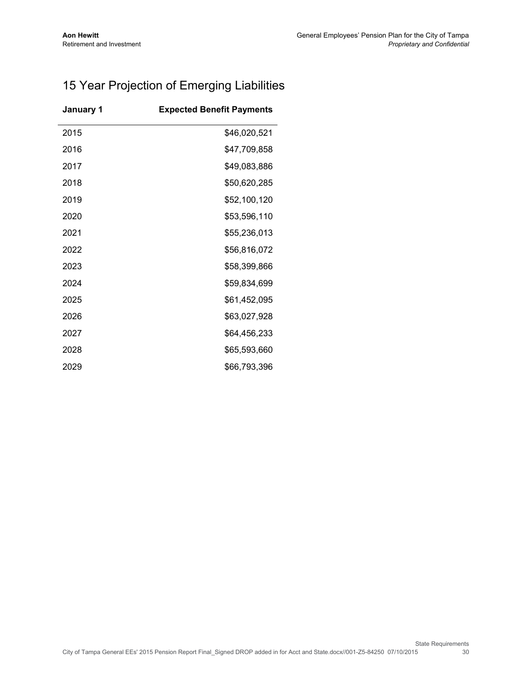## 15 Year Projection of Emerging Liabilities

| January 1 | <b>Expected Benefit Payments</b> |
|-----------|----------------------------------|
| 2015      | \$46,020,521                     |
| 2016      | \$47,709,858                     |
| 2017      | \$49,083,886                     |
| 2018      | \$50,620,285                     |
| 2019      | \$52,100,120                     |
| 2020      | \$53,596,110                     |
| 2021      | \$55,236,013                     |
| 2022      | \$56,816,072                     |
| 2023      | \$58,399,866                     |
| 2024      | \$59,834,699                     |
| 2025      | \$61,452,095                     |
| 2026      | \$63,027,928                     |
| 2027      | \$64,456,233                     |
| 2028      | \$65,593,660                     |
| 2029      | \$66,793,396                     |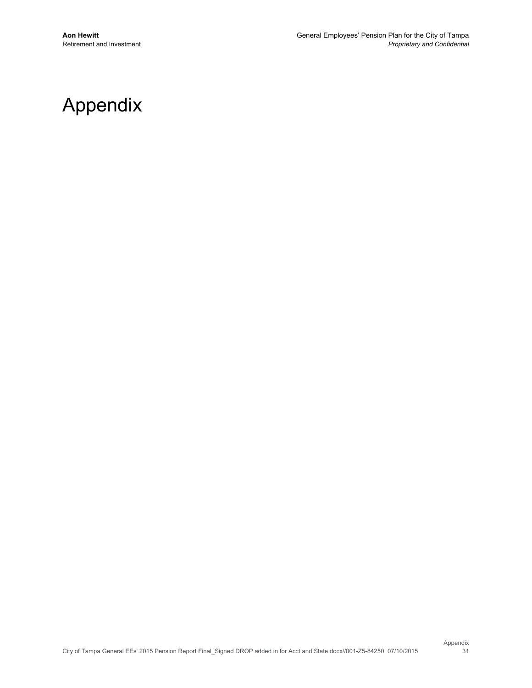## Appendix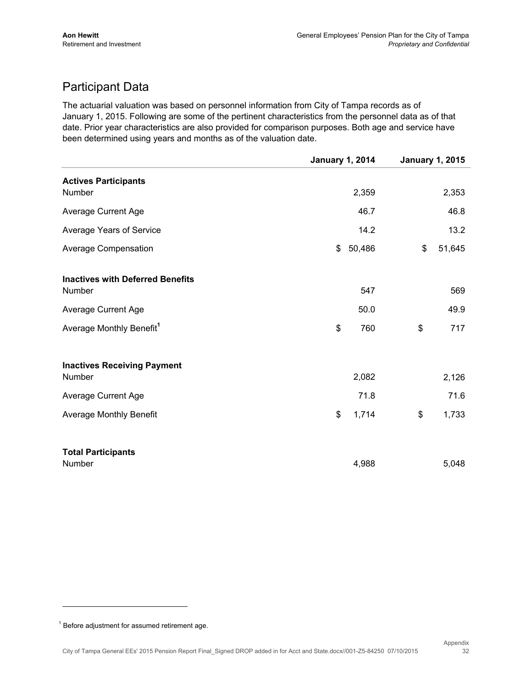## Participant Data

The actuarial valuation was based on personnel information from City of Tampa records as of January 1, 2015. Following are some of the pertinent characteristics from the personnel data as of that date. Prior year characteristics are also provided for comparison purposes. Both age and service have been determined using years and months as of the valuation date.

|                                                   | <b>January 1, 2014</b> |        | <b>January 1, 2015</b> |        |
|---------------------------------------------------|------------------------|--------|------------------------|--------|
| <b>Actives Participants</b><br>Number             |                        | 2,359  |                        | 2,353  |
| <b>Average Current Age</b>                        |                        | 46.7   |                        | 46.8   |
| Average Years of Service                          |                        | 14.2   |                        | 13.2   |
| Average Compensation                              | \$                     | 50,486 | \$                     | 51,645 |
| <b>Inactives with Deferred Benefits</b><br>Number |                        | 547    |                        | 569    |
| <b>Average Current Age</b>                        |                        | 50.0   |                        | 49.9   |
| Average Monthly Benefit <sup>1</sup>              | \$                     | 760    | \$                     | 717    |
| <b>Inactives Receiving Payment</b><br>Number      |                        | 2,082  |                        | 2,126  |
| <b>Average Current Age</b>                        |                        | 71.8   |                        | 71.6   |
| <b>Average Monthly Benefit</b>                    | \$                     | 1,714  | \$                     | 1,733  |
| <b>Total Participants</b><br>Number               |                        | 4,988  |                        | 5,048  |

 $1$  Before adjustment for assumed retirement age.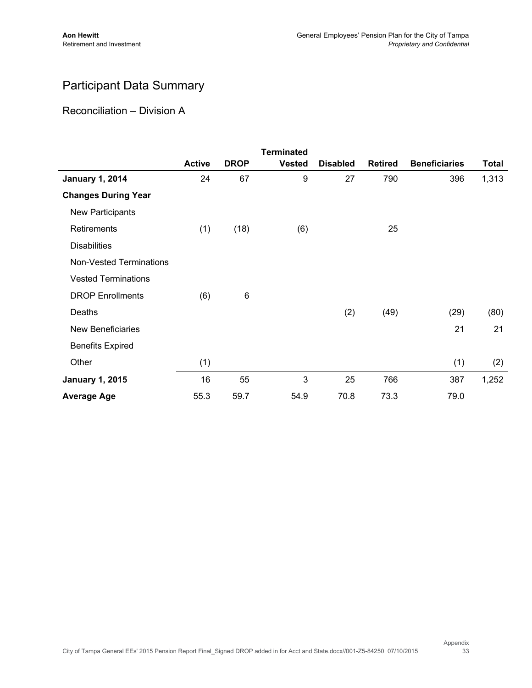## Participant Data Summary

#### Reconciliation – Division A

|                            |               |             | <b>Terminated</b> |                 |                |                      |              |
|----------------------------|---------------|-------------|-------------------|-----------------|----------------|----------------------|--------------|
|                            | <b>Active</b> | <b>DROP</b> | <b>Vested</b>     | <b>Disabled</b> | <b>Retired</b> | <b>Beneficiaries</b> | <b>Total</b> |
| <b>January 1, 2014</b>     | 24            | 67          | 9                 | 27              | 790            | 396                  | 1,313        |
| <b>Changes During Year</b> |               |             |                   |                 |                |                      |              |
| New Participants           |               |             |                   |                 |                |                      |              |
| Retirements                | (1)           | (18)        | (6)               |                 | 25             |                      |              |
| <b>Disabilities</b>        |               |             |                   |                 |                |                      |              |
| Non-Vested Terminations    |               |             |                   |                 |                |                      |              |
| <b>Vested Terminations</b> |               |             |                   |                 |                |                      |              |
| <b>DROP Enrollments</b>    | (6)           | $\,6$       |                   |                 |                |                      |              |
| Deaths                     |               |             |                   | (2)             | (49)           | (29)                 | (80)         |
| New Beneficiaries          |               |             |                   |                 |                | 21                   | 21           |
| <b>Benefits Expired</b>    |               |             |                   |                 |                |                      |              |
| Other                      | (1)           |             |                   |                 |                | (1)                  | (2)          |
| <b>January 1, 2015</b>     | 16            | 55          | 3                 | 25              | 766            | 387                  | 1,252        |
| <b>Average Age</b>         | 55.3          | 59.7        | 54.9              | 70.8            | 73.3           | 79.0                 |              |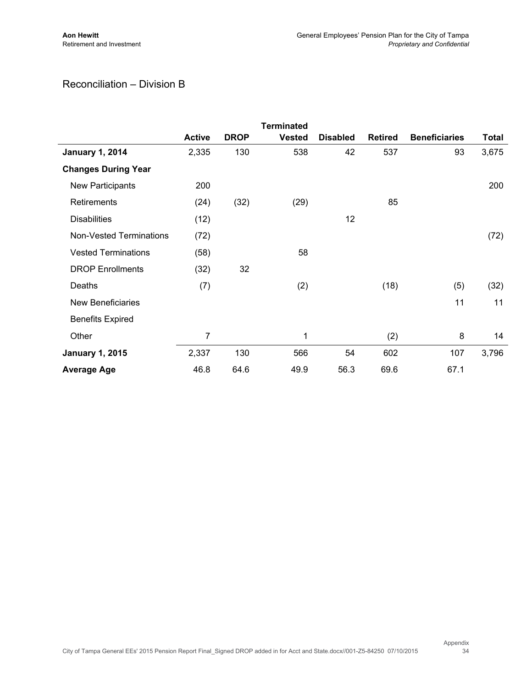#### Reconciliation – Division B

|                                |               |             | <b>Terminated</b> |                 |                |                      |              |
|--------------------------------|---------------|-------------|-------------------|-----------------|----------------|----------------------|--------------|
|                                | <b>Active</b> | <b>DROP</b> | <b>Vested</b>     | <b>Disabled</b> | <b>Retired</b> | <b>Beneficiaries</b> | <b>Total</b> |
| <b>January 1, 2014</b>         | 2,335         | 130         | 538               | 42              | 537            | 93                   | 3,675        |
| <b>Changes During Year</b>     |               |             |                   |                 |                |                      |              |
| New Participants               | 200           |             |                   |                 |                |                      | 200          |
| Retirements                    | (24)          | (32)        | (29)              |                 | 85             |                      |              |
| <b>Disabilities</b>            | (12)          |             |                   | 12              |                |                      |              |
| <b>Non-Vested Terminations</b> | (72)          |             |                   |                 |                |                      | (72)         |
| <b>Vested Terminations</b>     | (58)          |             | 58                |                 |                |                      |              |
| <b>DROP</b> Enrollments        | (32)          | 32          |                   |                 |                |                      |              |
| Deaths                         | (7)           |             | (2)               |                 | (18)           | (5)                  | (32)         |
| New Beneficiaries              |               |             |                   |                 |                | 11                   | 11           |
| <b>Benefits Expired</b>        |               |             |                   |                 |                |                      |              |
| Other                          | 7             |             | 1                 |                 | (2)            | 8                    | 14           |
| <b>January 1, 2015</b>         | 2,337         | 130         | 566               | 54              | 602            | 107                  | 3,796        |
| <b>Average Age</b>             | 46.8          | 64.6        | 49.9              | 56.3            | 69.6           | 67.1                 |              |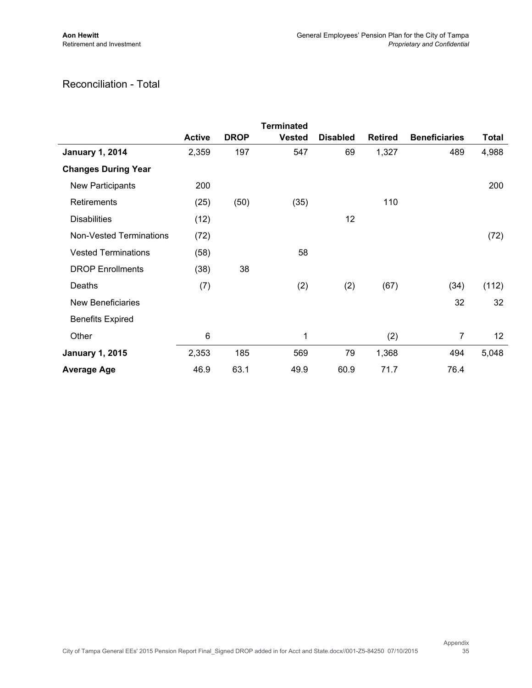#### Reconciliation - Total

|                                |               |             | <b>Terminated</b> |                 |                |                      |              |
|--------------------------------|---------------|-------------|-------------------|-----------------|----------------|----------------------|--------------|
|                                | <b>Active</b> | <b>DROP</b> | <b>Vested</b>     | <b>Disabled</b> | <b>Retired</b> | <b>Beneficiaries</b> | <b>Total</b> |
| <b>January 1, 2014</b>         | 2,359         | 197         | 547               | 69              | 1,327          | 489                  | 4,988        |
| <b>Changes During Year</b>     |               |             |                   |                 |                |                      |              |
| New Participants               | 200           |             |                   |                 |                |                      | 200          |
| Retirements                    | (25)          | (50)        | (35)              |                 | 110            |                      |              |
| <b>Disabilities</b>            | (12)          |             |                   | 12              |                |                      |              |
| <b>Non-Vested Terminations</b> | (72)          |             |                   |                 |                |                      | (72)         |
| <b>Vested Terminations</b>     | (58)          |             | 58                |                 |                |                      |              |
| <b>DROP</b> Enrollments        | (38)          | 38          |                   |                 |                |                      |              |
| Deaths                         | (7)           |             | (2)               | (2)             | (67)           | (34)                 | (112)        |
| <b>New Beneficiaries</b>       |               |             |                   |                 |                | 32                   | 32           |
| <b>Benefits Expired</b>        |               |             |                   |                 |                |                      |              |
| Other                          | 6             |             | 1                 |                 | (2)            | 7                    | 12           |
| <b>January 1, 2015</b>         | 2,353         | 185         | 569               | 79              | 1,368          | 494                  | 5,048        |
| <b>Average Age</b>             | 46.9          | 63.1        | 49.9              | 60.9            | 71.7           | 76.4                 |              |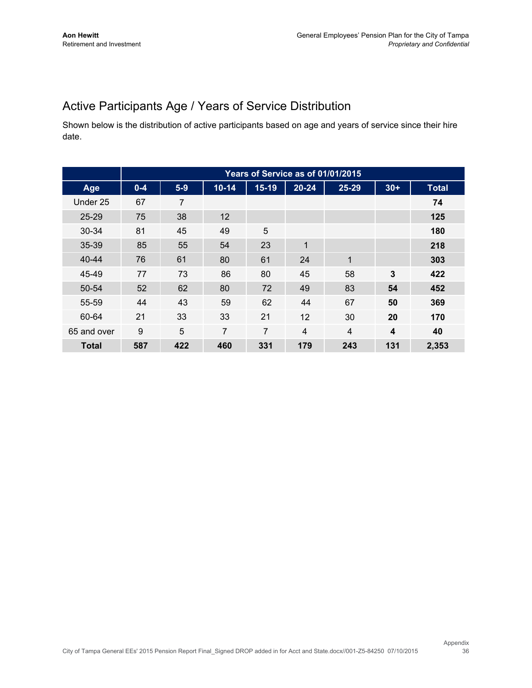## Active Participants Age / Years of Service Distribution

Shown below is the distribution of active participants based on age and years of service since their hire date.

|              | Years of Service as of 01/01/2015 |       |                |                |                |                |                         |              |  |  |
|--------------|-----------------------------------|-------|----------------|----------------|----------------|----------------|-------------------------|--------------|--|--|
| Age          | $0 - 4$                           | $5-9$ | $10 - 14$      | 15-19          | 20-24          | 25-29          | $30+$                   | <b>Total</b> |  |  |
| Under 25     | 67                                | 7     |                |                |                |                |                         | 74           |  |  |
| $25 - 29$    | 75                                | 38    | 12             |                |                |                |                         | 125          |  |  |
| $30 - 34$    | 81                                | 45    | 49             | 5              |                |                |                         | 180          |  |  |
| 35-39        | 85                                | 55    | 54             | 23             | 1              |                |                         | 218          |  |  |
| $40 - 44$    | 76                                | 61    | 80             | 61             | 24             | $\mathbf 1$    |                         | 303          |  |  |
| 45-49        | 77                                | 73    | 86             | 80             | 45             | 58             | 3                       | 422          |  |  |
| $50 - 54$    | 52                                | 62    | 80             | 72             | 49             | 83             | 54                      | 452          |  |  |
| 55-59        | 44                                | 43    | 59             | 62             | 44             | 67             | 50                      | 369          |  |  |
| 60-64        | 21                                | 33    | 33             | 21             | 12             | 30             | 20                      | 170          |  |  |
| 65 and over  | 9                                 | 5     | $\overline{7}$ | $\overline{7}$ | $\overline{4}$ | $\overline{4}$ | $\overline{\mathbf{4}}$ | 40           |  |  |
| <b>Total</b> | 587                               | 422   | 460            | 331            | 179            | 243            | 131                     | 2,353        |  |  |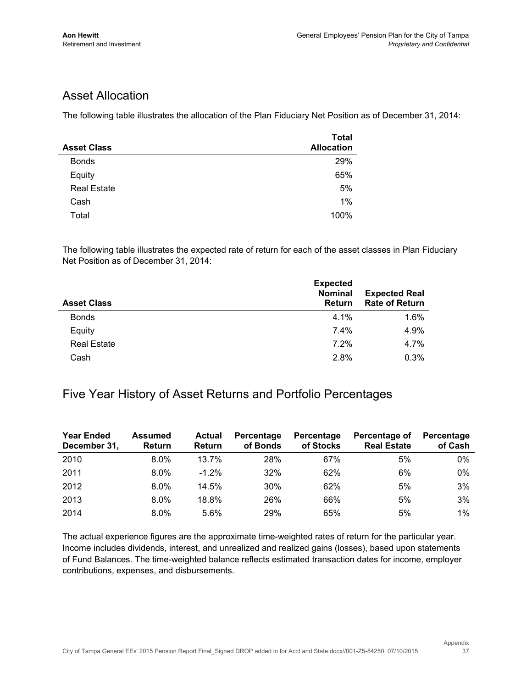### Asset Allocation

The following table illustrates the allocation of the Plan Fiduciary Net Position as of December 31, 2014:

| <b>Asset Class</b> | <b>Total</b><br><b>Allocation</b> |
|--------------------|-----------------------------------|
| <b>Bonds</b>       | 29%                               |
| Equity             | 65%                               |
| <b>Real Estate</b> | 5%                                |
| Cash               | 1%                                |
| Total              | 100%                              |

The following table illustrates the expected rate of return for each of the asset classes in Plan Fiduciary Net Position as of December 31, 2014:

| <b>Asset Class</b> | <b>Expected</b><br><b>Nominal</b><br><b>Return</b> | <b>Expected Real</b><br><b>Rate of Return</b> |
|--------------------|----------------------------------------------------|-----------------------------------------------|
| <b>Bonds</b>       | 4.1%                                               | 1.6%                                          |
| Equity             | $7.4\%$                                            | 4.9%                                          |
| <b>Real Estate</b> | 7.2%                                               | 4.7%                                          |
| Cash               | 2.8%                                               | 0.3%                                          |

#### Five Year History of Asset Returns and Portfolio Percentages

| <b>Year Ended</b><br>December 31, | <b>Assumed</b><br><b>Return</b> | <b>Actual</b><br>Return | Percentage<br>of Bonds | Percentage<br>of Stocks | Percentage of<br><b>Real Estate</b> | Percentage<br>of Cash |
|-----------------------------------|---------------------------------|-------------------------|------------------------|-------------------------|-------------------------------------|-----------------------|
| 2010                              | $8.0\%$                         | 13.7%                   | 28%                    | 67%                     | 5%                                  | $0\%$                 |
| 2011                              | $8.0\%$                         | $-1.2\%$                | 32%                    | 62%                     | 6%                                  | $0\%$                 |
| 2012                              | 8.0%                            | 14.5%                   | 30%                    | 62%                     | 5%                                  | 3%                    |
| 2013                              | $8.0\%$                         | 18.8%                   | 26%                    | 66%                     | 5%                                  | 3%                    |
| 2014                              | $8.0\%$                         | 5.6%                    | 29%                    | 65%                     | 5%                                  | $1\%$                 |

The actual experience figures are the approximate time-weighted rates of return for the particular year. Income includes dividends, interest, and unrealized and realized gains (losses), based upon statements of Fund Balances. The time-weighted balance reflects estimated transaction dates for income, employer contributions, expenses, and disbursements.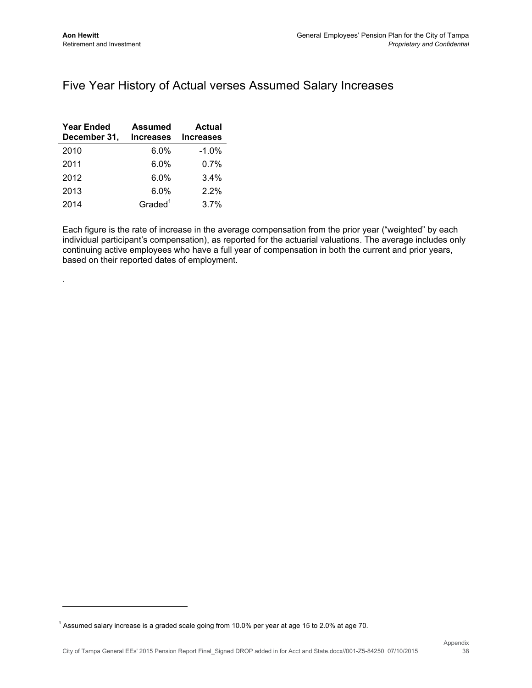.

#### Five Year History of Actual verses Assumed Salary Increases

| <b>Year Ended</b><br>December 31, | <b>Assumed</b><br><b>Increases</b> | <b>Actual</b><br><b>Increases</b> |
|-----------------------------------|------------------------------------|-----------------------------------|
| 2010                              | 6.0%                               | $-1.0%$                           |
| 2011                              | 6.0%                               | $0.7\%$                           |
| 2012                              | 6.0%                               | 3.4%                              |
| 2013                              | 6.0%                               | 2.2%                              |
| 2014                              | Graded <sup>1</sup>                | 3.7%                              |

Each figure is the rate of increase in the average compensation from the prior year ("weighted" by each individual participant's compensation), as reported for the actuarial valuations. The average includes only continuing active employees who have a full year of compensation in both the current and prior years, based on their reported dates of employment.

<sup>&</sup>lt;sup>1</sup> Assumed salary increase is a graded scale going from 10.0% per year at age 15 to 2.0% at age 70.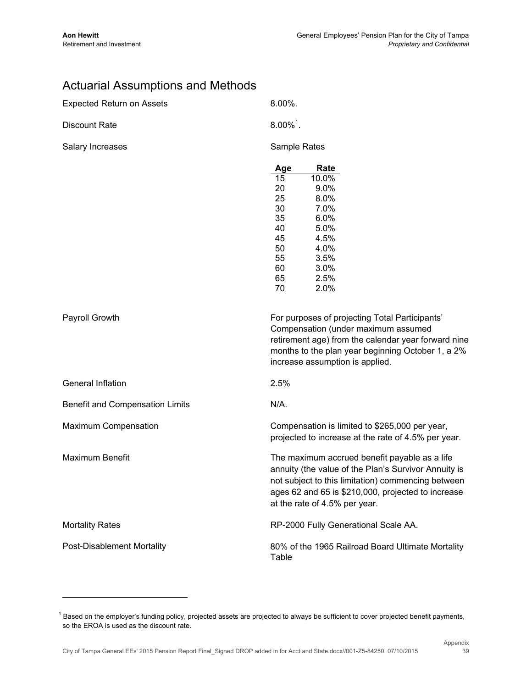## Actuarial Assumptions and Methods

| <b>Expected Return on Assets</b>  | 8.00%.                  |                                                      |
|-----------------------------------|-------------------------|------------------------------------------------------|
| <b>Discount Rate</b>              | $8.00\%$ <sup>1</sup> . |                                                      |
| Salary Increases                  | Sample Rates            |                                                      |
|                                   | Age                     | Rate                                                 |
|                                   | 15                      | 10.0%                                                |
|                                   | 20                      | 9.0%                                                 |
|                                   | 25                      | 8.0%                                                 |
|                                   | 30                      | 7.0%                                                 |
|                                   | 35                      | 6.0%                                                 |
|                                   | 40                      | 5.0%                                                 |
|                                   | 45                      | 4.5%                                                 |
|                                   | 50                      | 4.0%                                                 |
|                                   | 55                      | 3.5%                                                 |
|                                   | 60                      | 3.0%                                                 |
|                                   | 65                      | 2.5%                                                 |
|                                   | 70                      | 2.0%                                                 |
|                                   |                         |                                                      |
| Payroll Growth                    |                         | For purposes of projecting Total Participants'       |
|                                   |                         | Compensation (under maximum assumed                  |
|                                   |                         | retirement age) from the calendar year forward nine  |
|                                   |                         | months to the plan year beginning October 1, a 2%    |
|                                   |                         | increase assumption is applied.                      |
| General Inflation                 | 2.5%                    |                                                      |
| Benefit and Compensation Limits   | N/A.                    |                                                      |
| Maximum Compensation              |                         | Compensation is limited to \$265,000 per year,       |
|                                   |                         | projected to increase at the rate of 4.5% per year.  |
|                                   |                         |                                                      |
| <b>Maximum Benefit</b>            |                         | The maximum accrued benefit payable as a life        |
|                                   |                         | annuity (the value of the Plan's Survivor Annuity is |
|                                   |                         | not subject to this limitation) commencing between   |
|                                   |                         | ages 62 and 65 is \$210,000, projected to increase   |
|                                   |                         |                                                      |
|                                   |                         | at the rate of 4.5% per year.                        |
| <b>Mortality Rates</b>            |                         | RP-2000 Fully Generational Scale AA.                 |
| <b>Post-Disablement Mortality</b> |                         | 80% of the 1965 Railroad Board Ultimate Mortality    |
|                                   | Table                   |                                                      |

<sup>&</sup>lt;sup>1</sup> Based on the employer's funding policy, projected assets are projected to always be sufficient to cover projected benefit payments, so the EROA is used as the discount rate.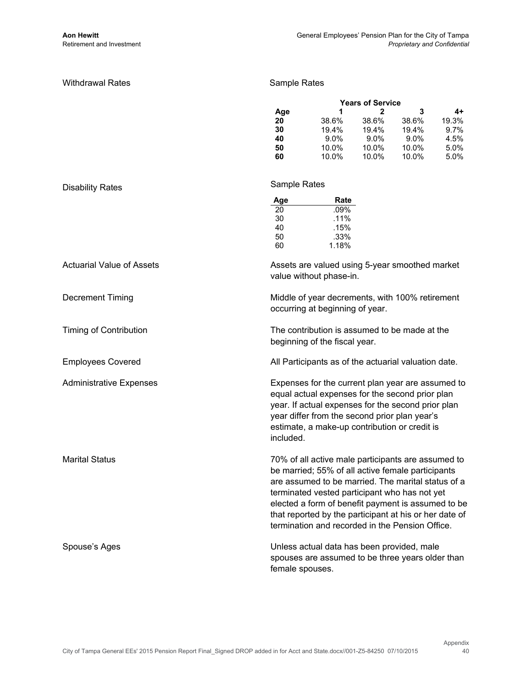#### Withdrawal Rates

#### Sample Rates

| <b>Years of Service</b> |         |         |       |
|-------------------------|---------|---------|-------|
| 1                       | 2       | з       | 4+    |
| 38.6%                   | 38.6%   | 38.6%   | 19.3% |
| 19.4%                   | 19.4%   | 19.4%   | 9.7%  |
| $9.0\%$                 | $9.0\%$ | $9.0\%$ | 4.5%  |
| 10.0%                   | 10.0%   | 10.0%   | 5.0%  |
| 10.0%                   | 10.0%   | 10.0%   | 5.0%  |
|                         |         |         |       |

| <b>Disability Rates</b>          | Sample Rates                                                                                                                                                                                                                                                                                                                                                                      |
|----------------------------------|-----------------------------------------------------------------------------------------------------------------------------------------------------------------------------------------------------------------------------------------------------------------------------------------------------------------------------------------------------------------------------------|
|                                  | Age<br>Rate<br>.09%<br>20<br>30<br>.11%<br>40<br>.15%<br>.33%<br>50<br>1.18%<br>60                                                                                                                                                                                                                                                                                                |
| <b>Actuarial Value of Assets</b> | Assets are valued using 5-year smoothed market<br>value without phase-in.                                                                                                                                                                                                                                                                                                         |
| <b>Decrement Timing</b>          | Middle of year decrements, with 100% retirement<br>occurring at beginning of year.                                                                                                                                                                                                                                                                                                |
| <b>Timing of Contribution</b>    | The contribution is assumed to be made at the<br>beginning of the fiscal year.                                                                                                                                                                                                                                                                                                    |
| <b>Employees Covered</b>         | All Participants as of the actuarial valuation date.                                                                                                                                                                                                                                                                                                                              |
| <b>Administrative Expenses</b>   | Expenses for the current plan year are assumed to<br>equal actual expenses for the second prior plan<br>year. If actual expenses for the second prior plan<br>year differ from the second prior plan year's<br>estimate, a make-up contribution or credit is<br>included.                                                                                                         |
| <b>Marital Status</b>            | 70% of all active male participants are assumed to<br>be married; 55% of all active female participants<br>are assumed to be married. The marital status of a<br>terminated vested participant who has not yet<br>elected a form of benefit payment is assumed to be<br>that reported by the participant at his or her date of<br>termination and recorded in the Pension Office. |
| Spouse's Ages                    | Unless actual data has been provided, male<br>spouses are assumed to be three years older than<br>female spouses.                                                                                                                                                                                                                                                                 |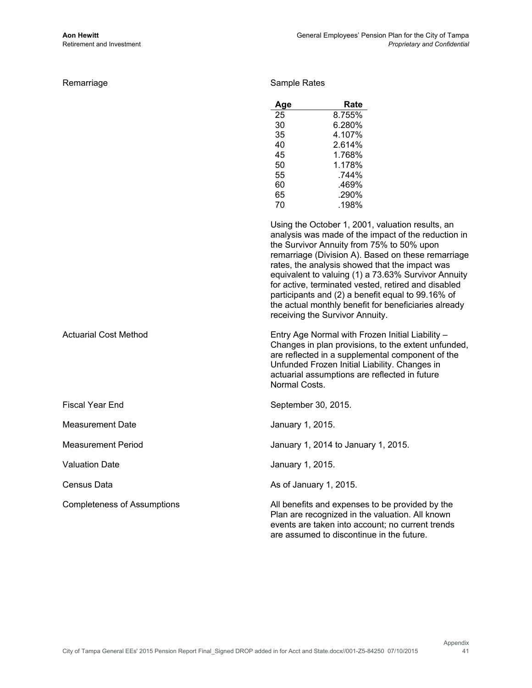Remarriage **Sample Rates** Sample Rates

| Age | Rate   |
|-----|--------|
| 25  | 8.755% |
| 30  | 6.280% |
| 35  | 4.107% |
| 40  | 2.614% |
| 45  | 1.768% |
| 50  | 1.178% |
| 55  | 744%   |
| 60  | .469%  |
| 65  | .290%  |
| 70  | .198%  |

Using the October 1, 2001, valuation results, an analysis was made of the impact of the reduction in the Survivor Annuity from 75% to 50% upon remarriage (Division A). Based on these remarriage rates, the analysis showed that the impact was equivalent to valuing (1) a 73.63% Survivor Annuity for active, terminated vested, retired and disabled participants and (2) a benefit equal to 99.16% of the actual monthly benefit for beneficiaries already receiving the Survivor Annuity.

Normal Costs. Actuarial Cost Method Entry Age Normal with Frozen Initial Liability – Changes in plan provisions, to the extent unfunded, are reflected in a supplemental component of the Unfunded Frozen Initial Liability. Changes in actuarial assumptions are reflected in future

are assumed to discontinue in the future.

|                                    | Normal Costs.                                                                                                                                          |
|------------------------------------|--------------------------------------------------------------------------------------------------------------------------------------------------------|
| <b>Fiscal Year End</b>             | September 30, 2015.                                                                                                                                    |
| Measurement Date                   | January 1, 2015.                                                                                                                                       |
| Measurement Period                 | January 1, 2014 to January 1, 2015.                                                                                                                    |
| <b>Valuation Date</b>              | January 1, 2015.                                                                                                                                       |
| Census Data                        | As of January 1, 2015.                                                                                                                                 |
| <b>Completeness of Assumptions</b> | All benefits and expenses to be provided by the<br>Plan are recognized in the valuation. All known<br>events are taken into account; no current trends |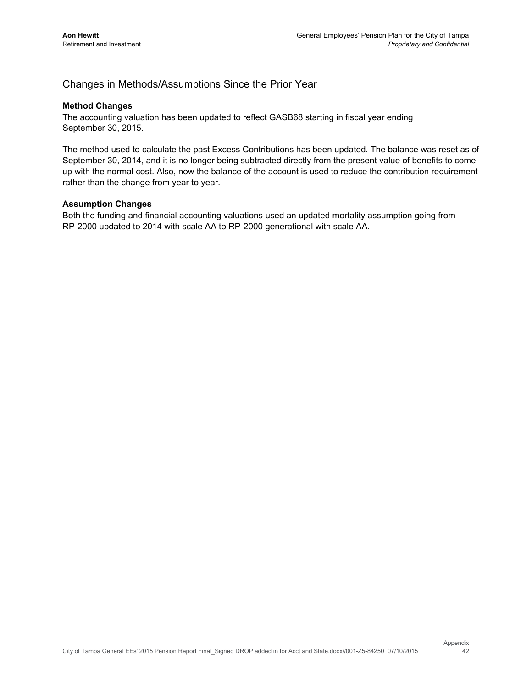#### Changes in Methods/Assumptions Since the Prior Year

#### **Method Changes**

The accounting valuation has been updated to reflect GASB68 starting in fiscal year ending September 30, 2015.

The method used to calculate the past Excess Contributions has been updated. The balance was reset as of September 30, 2014, and it is no longer being subtracted directly from the present value of benefits to come up with the normal cost. Also, now the balance of the account is used to reduce the contribution requirement rather than the change from year to year.

#### **Assumption Changes**

Both the funding and financial accounting valuations used an updated mortality assumption going from RP-2000 updated to 2014 with scale AA to RP-2000 generational with scale AA.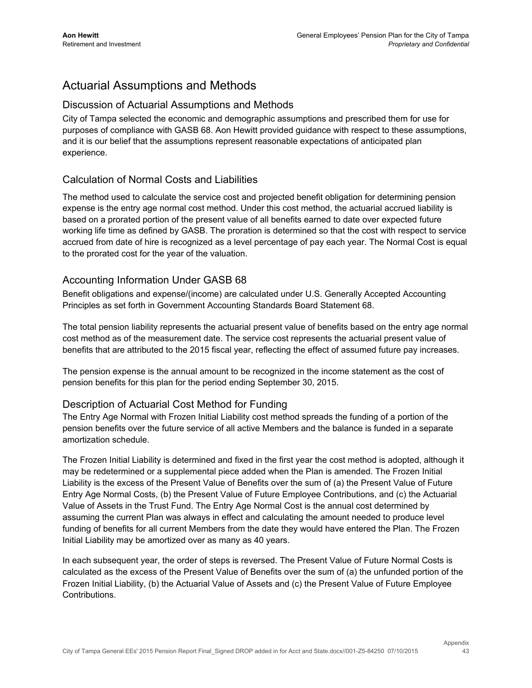## Actuarial Assumptions and Methods

#### Discussion of Actuarial Assumptions and Methods

City of Tampa selected the economic and demographic assumptions and prescribed them for use for purposes of compliance with GASB 68. Aon Hewitt provided guidance with respect to these assumptions, and it is our belief that the assumptions represent reasonable expectations of anticipated plan experience.

#### Calculation of Normal Costs and Liabilities

The method used to calculate the service cost and projected benefit obligation for determining pension expense is the entry age normal cost method. Under this cost method, the actuarial accrued liability is based on a prorated portion of the present value of all benefits earned to date over expected future working life time as defined by GASB. The proration is determined so that the cost with respect to service accrued from date of hire is recognized as a level percentage of pay each year. The Normal Cost is equal to the prorated cost for the year of the valuation.

#### Accounting Information Under GASB 68

Benefit obligations and expense/(income) are calculated under U.S. Generally Accepted Accounting Principles as set forth in Government Accounting Standards Board Statement 68.

The total pension liability represents the actuarial present value of benefits based on the entry age normal cost method as of the measurement date. The service cost represents the actuarial present value of benefits that are attributed to the 2015 fiscal year, reflecting the effect of assumed future pay increases.

The pension expense is the annual amount to be recognized in the income statement as the cost of pension benefits for this plan for the period ending September 30, 2015.

#### Description of Actuarial Cost Method for Funding

The Entry Age Normal with Frozen Initial Liability cost method spreads the funding of a portion of the pension benefits over the future service of all active Members and the balance is funded in a separate amortization schedule.

The Frozen Initial Liability is determined and fixed in the first year the cost method is adopted, although it may be redetermined or a supplemental piece added when the Plan is amended. The Frozen Initial Liability is the excess of the Present Value of Benefits over the sum of (a) the Present Value of Future Entry Age Normal Costs, (b) the Present Value of Future Employee Contributions, and (c) the Actuarial Value of Assets in the Trust Fund. The Entry Age Normal Cost is the annual cost determined by assuming the current Plan was always in effect and calculating the amount needed to produce level funding of benefits for all current Members from the date they would have entered the Plan. The Frozen Initial Liability may be amortized over as many as 40 years.

In each subsequent year, the order of steps is reversed. The Present Value of Future Normal Costs is calculated as the excess of the Present Value of Benefits over the sum of (a) the unfunded portion of the Frozen Initial Liability, (b) the Actuarial Value of Assets and (c) the Present Value of Future Employee Contributions.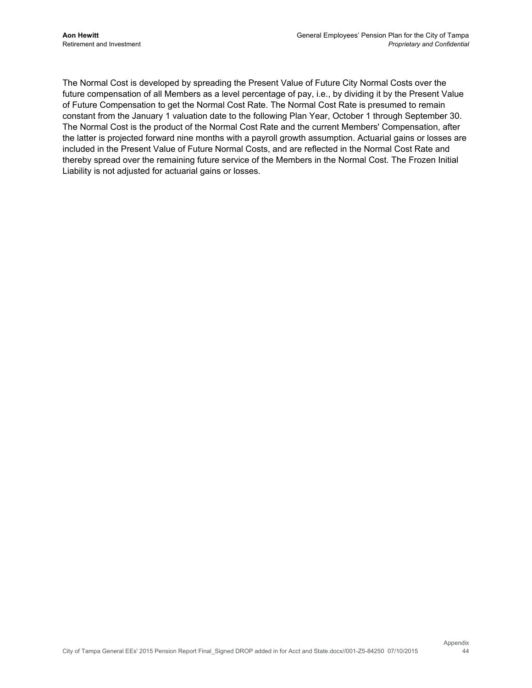The Normal Cost is developed by spreading the Present Value of Future City Normal Costs over the future compensation of all Members as a level percentage of pay, i.e., by dividing it by the Present Value of Future Compensation to get the Normal Cost Rate. The Normal Cost Rate is presumed to remain constant from the January 1 valuation date to the following Plan Year, October 1 through September 30. The Normal Cost is the product of the Normal Cost Rate and the current Members' Compensation, after the latter is projected forward nine months with a payroll growth assumption. Actuarial gains or losses are included in the Present Value of Future Normal Costs, and are reflected in the Normal Cost Rate and thereby spread over the remaining future service of the Members in the Normal Cost. The Frozen Initial Liability is not adjusted for actuarial gains or losses.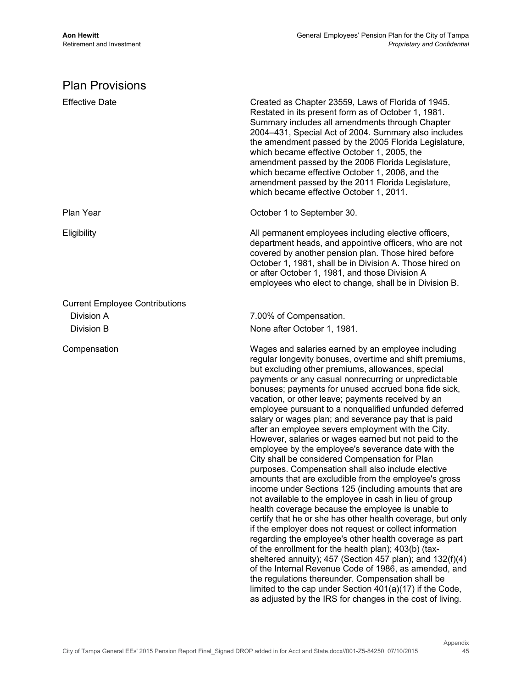## Plan Provisions

| <b>Effective Date</b>                 | Created as Chapter 23559, Laws of Florida of 1945.<br>Restated in its present form as of October 1, 1981.<br>Summary includes all amendments through Chapter<br>2004-431, Special Act of 2004. Summary also includes<br>the amendment passed by the 2005 Florida Legislature,<br>which became effective October 1, 2005, the<br>amendment passed by the 2006 Florida Legislature,<br>which became effective October 1, 2006, and the<br>amendment passed by the 2011 Florida Legislature,<br>which became effective October 1, 2011.                                                                                                                                                                                                                                                                                                                                                                                                                                                                                                                                                                                                                                                                                                                                                                                                                                                                                                                                                                                  |
|---------------------------------------|-----------------------------------------------------------------------------------------------------------------------------------------------------------------------------------------------------------------------------------------------------------------------------------------------------------------------------------------------------------------------------------------------------------------------------------------------------------------------------------------------------------------------------------------------------------------------------------------------------------------------------------------------------------------------------------------------------------------------------------------------------------------------------------------------------------------------------------------------------------------------------------------------------------------------------------------------------------------------------------------------------------------------------------------------------------------------------------------------------------------------------------------------------------------------------------------------------------------------------------------------------------------------------------------------------------------------------------------------------------------------------------------------------------------------------------------------------------------------------------------------------------------------|
| Plan Year                             | October 1 to September 30.                                                                                                                                                                                                                                                                                                                                                                                                                                                                                                                                                                                                                                                                                                                                                                                                                                                                                                                                                                                                                                                                                                                                                                                                                                                                                                                                                                                                                                                                                            |
| Eligibility                           | All permanent employees including elective officers,<br>department heads, and appointive officers, who are not<br>covered by another pension plan. Those hired before<br>October 1, 1981, shall be in Division A. Those hired on<br>or after October 1, 1981, and those Division A<br>employees who elect to change, shall be in Division B.                                                                                                                                                                                                                                                                                                                                                                                                                                                                                                                                                                                                                                                                                                                                                                                                                                                                                                                                                                                                                                                                                                                                                                          |
| <b>Current Employee Contributions</b> |                                                                                                                                                                                                                                                                                                                                                                                                                                                                                                                                                                                                                                                                                                                                                                                                                                                                                                                                                                                                                                                                                                                                                                                                                                                                                                                                                                                                                                                                                                                       |
| Division A                            | 7.00% of Compensation.                                                                                                                                                                                                                                                                                                                                                                                                                                                                                                                                                                                                                                                                                                                                                                                                                                                                                                                                                                                                                                                                                                                                                                                                                                                                                                                                                                                                                                                                                                |
| Division B                            | None after October 1, 1981.                                                                                                                                                                                                                                                                                                                                                                                                                                                                                                                                                                                                                                                                                                                                                                                                                                                                                                                                                                                                                                                                                                                                                                                                                                                                                                                                                                                                                                                                                           |
| Compensation                          | Wages and salaries earned by an employee including<br>regular longevity bonuses, overtime and shift premiums,<br>but excluding other premiums, allowances, special<br>payments or any casual nonrecurring or unpredictable<br>bonuses; payments for unused accrued bona fide sick,<br>vacation, or other leave; payments received by an<br>employee pursuant to a nonqualified unfunded deferred<br>salary or wages plan; and severance pay that is paid<br>after an employee severs employment with the City.<br>However, salaries or wages earned but not paid to the<br>employee by the employee's severance date with the<br>City shall be considered Compensation for Plan<br>purposes. Compensation shall also include elective<br>amounts that are excludible from the employee's gross<br>income under Sections 125 (including amounts that are<br>not available to the employee in cash in lieu of group<br>health coverage because the employee is unable to<br>certify that he or she has other health coverage, but only<br>if the employer does not request or collect information<br>regarding the employee's other health coverage as part<br>of the enrollment for the health plan); 403(b) (tax-<br>sheltered annuity); 457 (Section 457 plan); and 132(f)(4)<br>of the Internal Revenue Code of 1986, as amended, and<br>the regulations thereunder. Compensation shall be<br>limited to the cap under Section 401(a)(17) if the Code,<br>as adjusted by the IRS for changes in the cost of living. |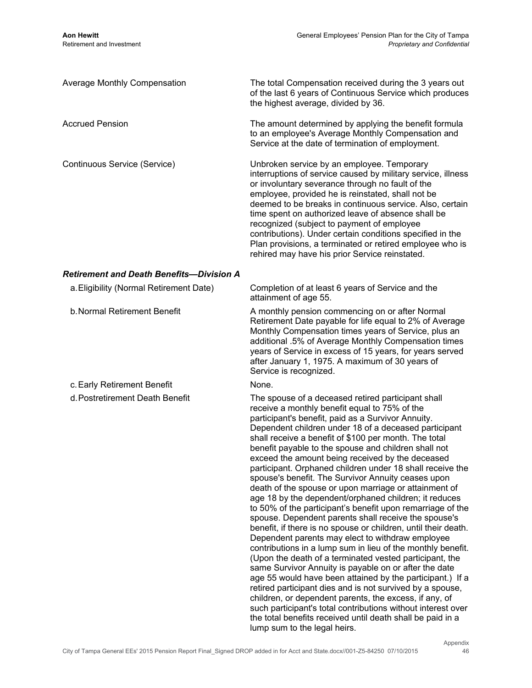| <b>Average Monthly Compensation</b>      | The total Compensation received during the 3 years out<br>of the last 6 years of Continuous Service which produces<br>the highest average, divided by 36.                                                                                                                                                                                                                                                                                                                                                                                                                                                                                                                                                                                                                                                                                                                                                                                                                                                                                                                                                                                                                                                                                                                                                       |
|------------------------------------------|-----------------------------------------------------------------------------------------------------------------------------------------------------------------------------------------------------------------------------------------------------------------------------------------------------------------------------------------------------------------------------------------------------------------------------------------------------------------------------------------------------------------------------------------------------------------------------------------------------------------------------------------------------------------------------------------------------------------------------------------------------------------------------------------------------------------------------------------------------------------------------------------------------------------------------------------------------------------------------------------------------------------------------------------------------------------------------------------------------------------------------------------------------------------------------------------------------------------------------------------------------------------------------------------------------------------|
| Accrued Pension                          | The amount determined by applying the benefit formula<br>to an employee's Average Monthly Compensation and<br>Service at the date of termination of employment.                                                                                                                                                                                                                                                                                                                                                                                                                                                                                                                                                                                                                                                                                                                                                                                                                                                                                                                                                                                                                                                                                                                                                 |
| Continuous Service (Service)             | Unbroken service by an employee. Temporary<br>interruptions of service caused by military service, illness<br>or involuntary severance through no fault of the<br>employee, provided he is reinstated, shall not be<br>deemed to be breaks in continuous service. Also, certain<br>time spent on authorized leave of absence shall be<br>recognized (subject to payment of employee<br>contributions). Under certain conditions specified in the<br>Plan provisions, a terminated or retired employee who is<br>rehired may have his prior Service reinstated.                                                                                                                                                                                                                                                                                                                                                                                                                                                                                                                                                                                                                                                                                                                                                  |
| Retirement and Death Benefits—Division A |                                                                                                                                                                                                                                                                                                                                                                                                                                                                                                                                                                                                                                                                                                                                                                                                                                                                                                                                                                                                                                                                                                                                                                                                                                                                                                                 |
| a. Eligibility (Normal Retirement Date)  | Completion of at least 6 years of Service and the<br>attainment of age 55.                                                                                                                                                                                                                                                                                                                                                                                                                                                                                                                                                                                                                                                                                                                                                                                                                                                                                                                                                                                                                                                                                                                                                                                                                                      |
| b. Normal Retirement Benefit             | A monthly pension commencing on or after Normal<br>Retirement Date payable for life equal to 2% of Average<br>Monthly Compensation times years of Service, plus an<br>additional .5% of Average Monthly Compensation times<br>years of Service in excess of 15 years, for years served<br>after January 1, 1975. A maximum of 30 years of<br>Service is recognized.                                                                                                                                                                                                                                                                                                                                                                                                                                                                                                                                                                                                                                                                                                                                                                                                                                                                                                                                             |
| c. Early Retirement Benefit              | None.                                                                                                                                                                                                                                                                                                                                                                                                                                                                                                                                                                                                                                                                                                                                                                                                                                                                                                                                                                                                                                                                                                                                                                                                                                                                                                           |
| d. Postretirement Death Benefit          | The spouse of a deceased retired participant shall<br>receive a monthly benefit equal to 75% of the<br>participant's benefit, paid as a Survivor Annuity.<br>Dependent children under 18 of a deceased participant<br>shall receive a benefit of \$100 per month. The total<br>benefit payable to the spouse and children shall not<br>exceed the amount being received by the deceased<br>participant. Orphaned children under 18 shall receive the<br>spouse's benefit. The Survivor Annuity ceases upon<br>death of the spouse or upon marriage or attainment of<br>age 18 by the dependent/orphaned children; it reduces<br>to 50% of the participant's benefit upon remarriage of the<br>spouse. Dependent parents shall receive the spouse's<br>benefit, if there is no spouse or children, until their death.<br>Dependent parents may elect to withdraw employee<br>contributions in a lump sum in lieu of the monthly benefit.<br>(Upon the death of a terminated vested participant, the<br>same Survivor Annuity is payable on or after the date<br>age 55 would have been attained by the participant.) If a<br>retired participant dies and is not survived by a spouse,<br>children, or dependent parents, the excess, if any, of<br>such participant's total contributions without interest over |

the total benefits received until death shall be paid in a

lump sum to the legal heirs.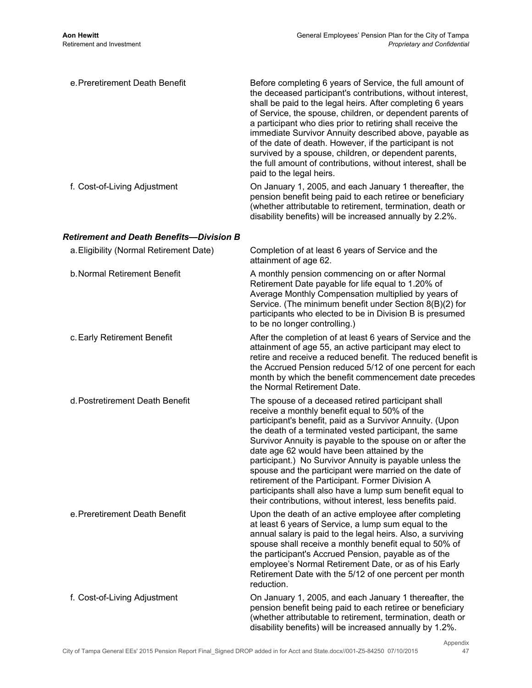| e. Preretirement Death Benefit           | Before completing 6 years of Service, the full amount of<br>the deceased participant's contributions, without interest,<br>shall be paid to the legal heirs. After completing 6 years<br>of Service, the spouse, children, or dependent parents of<br>a participant who dies prior to retiring shall receive the<br>immediate Survivor Annuity described above, payable as<br>of the date of death. However, if the participant is not<br>survived by a spouse, children, or dependent parents,<br>the full amount of contributions, without interest, shall be<br>paid to the legal heirs.                                              |
|------------------------------------------|------------------------------------------------------------------------------------------------------------------------------------------------------------------------------------------------------------------------------------------------------------------------------------------------------------------------------------------------------------------------------------------------------------------------------------------------------------------------------------------------------------------------------------------------------------------------------------------------------------------------------------------|
| f. Cost-of-Living Adjustment             | On January 1, 2005, and each January 1 thereafter, the<br>pension benefit being paid to each retiree or beneficiary<br>(whether attributable to retirement, termination, death or<br>disability benefits) will be increased annually by 2.2%.                                                                                                                                                                                                                                                                                                                                                                                            |
| Retirement and Death Benefits—Division B |                                                                                                                                                                                                                                                                                                                                                                                                                                                                                                                                                                                                                                          |
| a. Eligibility (Normal Retirement Date)  | Completion of at least 6 years of Service and the<br>attainment of age 62.                                                                                                                                                                                                                                                                                                                                                                                                                                                                                                                                                               |
| b. Normal Retirement Benefit             | A monthly pension commencing on or after Normal<br>Retirement Date payable for life equal to 1.20% of<br>Average Monthly Compensation multiplied by years of<br>Service. (The minimum benefit under Section 8(B)(2) for<br>participants who elected to be in Division B is presumed<br>to be no longer controlling.)                                                                                                                                                                                                                                                                                                                     |
| c. Early Retirement Benefit              | After the completion of at least 6 years of Service and the<br>attainment of age 55, an active participant may elect to<br>retire and receive a reduced benefit. The reduced benefit is<br>the Accrued Pension reduced 5/12 of one percent for each<br>month by which the benefit commencement date precedes<br>the Normal Retirement Date.                                                                                                                                                                                                                                                                                              |
| d. Postretirement Death Benefit          | The spouse of a deceased retired participant shall<br>receive a monthly benefit equal to 50% of the<br>participant's benefit, paid as a Survivor Annuity. (Upon<br>the death of a terminated vested participant, the same<br>Survivor Annuity is payable to the spouse on or after the<br>date age 62 would have been attained by the<br>participant.) No Survivor Annuity is payable unless the<br>spouse and the participant were married on the date of<br>retirement of the Participant. Former Division A<br>participants shall also have a lump sum benefit equal to<br>their contributions, without interest, less benefits paid. |
| e. Preretirement Death Benefit           | Upon the death of an active employee after completing<br>at least 6 years of Service, a lump sum equal to the<br>annual salary is paid to the legal heirs. Also, a surviving<br>spouse shall receive a monthly benefit equal to 50% of<br>the participant's Accrued Pension, payable as of the<br>employee's Normal Retirement Date, or as of his Early<br>Retirement Date with the 5/12 of one percent per month<br>reduction.                                                                                                                                                                                                          |
| f. Cost-of-Living Adjustment             | On January 1, 2005, and each January 1 thereafter, the<br>pension benefit being paid to each retiree or beneficiary<br>(whether attributable to retirement, termination, death or<br>disability benefits) will be increased annually by 1.2%.                                                                                                                                                                                                                                                                                                                                                                                            |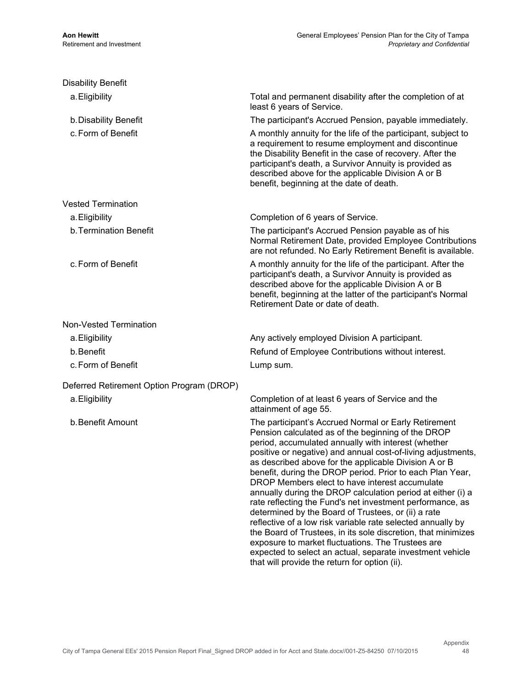| <b>Disability Benefit</b>                 |                                                                                                                                                                                                                                                                                                                                                                                                                                                                                                                                                                                                                                                                                                                                                                                                                                                                                                 |
|-------------------------------------------|-------------------------------------------------------------------------------------------------------------------------------------------------------------------------------------------------------------------------------------------------------------------------------------------------------------------------------------------------------------------------------------------------------------------------------------------------------------------------------------------------------------------------------------------------------------------------------------------------------------------------------------------------------------------------------------------------------------------------------------------------------------------------------------------------------------------------------------------------------------------------------------------------|
| a. Eligibility                            | Total and permanent disability after the completion of at<br>least 6 years of Service.                                                                                                                                                                                                                                                                                                                                                                                                                                                                                                                                                                                                                                                                                                                                                                                                          |
| b. Disability Benefit                     | The participant's Accrued Pension, payable immediately.                                                                                                                                                                                                                                                                                                                                                                                                                                                                                                                                                                                                                                                                                                                                                                                                                                         |
| c. Form of Benefit                        | A monthly annuity for the life of the participant, subject to<br>a requirement to resume employment and discontinue<br>the Disability Benefit in the case of recovery. After the<br>participant's death, a Survivor Annuity is provided as<br>described above for the applicable Division A or B<br>benefit, beginning at the date of death.                                                                                                                                                                                                                                                                                                                                                                                                                                                                                                                                                    |
| <b>Vested Termination</b>                 |                                                                                                                                                                                                                                                                                                                                                                                                                                                                                                                                                                                                                                                                                                                                                                                                                                                                                                 |
| a. Eligibility                            | Completion of 6 years of Service.                                                                                                                                                                                                                                                                                                                                                                                                                                                                                                                                                                                                                                                                                                                                                                                                                                                               |
| b. Termination Benefit                    | The participant's Accrued Pension payable as of his<br>Normal Retirement Date, provided Employee Contributions<br>are not refunded. No Early Retirement Benefit is available.                                                                                                                                                                                                                                                                                                                                                                                                                                                                                                                                                                                                                                                                                                                   |
| c. Form of Benefit                        | A monthly annuity for the life of the participant. After the<br>participant's death, a Survivor Annuity is provided as<br>described above for the applicable Division A or B<br>benefit, beginning at the latter of the participant's Normal<br>Retirement Date or date of death.                                                                                                                                                                                                                                                                                                                                                                                                                                                                                                                                                                                                               |
| Non-Vested Termination                    |                                                                                                                                                                                                                                                                                                                                                                                                                                                                                                                                                                                                                                                                                                                                                                                                                                                                                                 |
| a. Eligibility                            | Any actively employed Division A participant.                                                                                                                                                                                                                                                                                                                                                                                                                                                                                                                                                                                                                                                                                                                                                                                                                                                   |
| b.Benefit                                 | Refund of Employee Contributions without interest.                                                                                                                                                                                                                                                                                                                                                                                                                                                                                                                                                                                                                                                                                                                                                                                                                                              |
| c. Form of Benefit                        | Lump sum.                                                                                                                                                                                                                                                                                                                                                                                                                                                                                                                                                                                                                                                                                                                                                                                                                                                                                       |
| Deferred Retirement Option Program (DROP) |                                                                                                                                                                                                                                                                                                                                                                                                                                                                                                                                                                                                                                                                                                                                                                                                                                                                                                 |
| a. Eligibility                            | Completion of at least 6 years of Service and the<br>attainment of age 55.                                                                                                                                                                                                                                                                                                                                                                                                                                                                                                                                                                                                                                                                                                                                                                                                                      |
| b. Benefit Amount                         | The participant's Accrued Normal or Early Retirement<br>Pension calculated as of the beginning of the DROP<br>period, accumulated annually with interest (whether<br>positive or negative) and annual cost-of-living adjustments,<br>as described above for the applicable Division A or B<br>benefit, during the DROP period. Prior to each Plan Year,<br>DROP Members elect to have interest accumulate<br>annually during the DROP calculation period at either (i) a<br>rate reflecting the Fund's net investment performance, as<br>determined by the Board of Trustees, or (ii) a rate<br>reflective of a low risk variable rate selected annually by<br>the Board of Trustees, in its sole discretion, that minimizes<br>exposure to market fluctuations. The Trustees are<br>expected to select an actual, separate investment vehicle<br>that will provide the return for option (ii). |